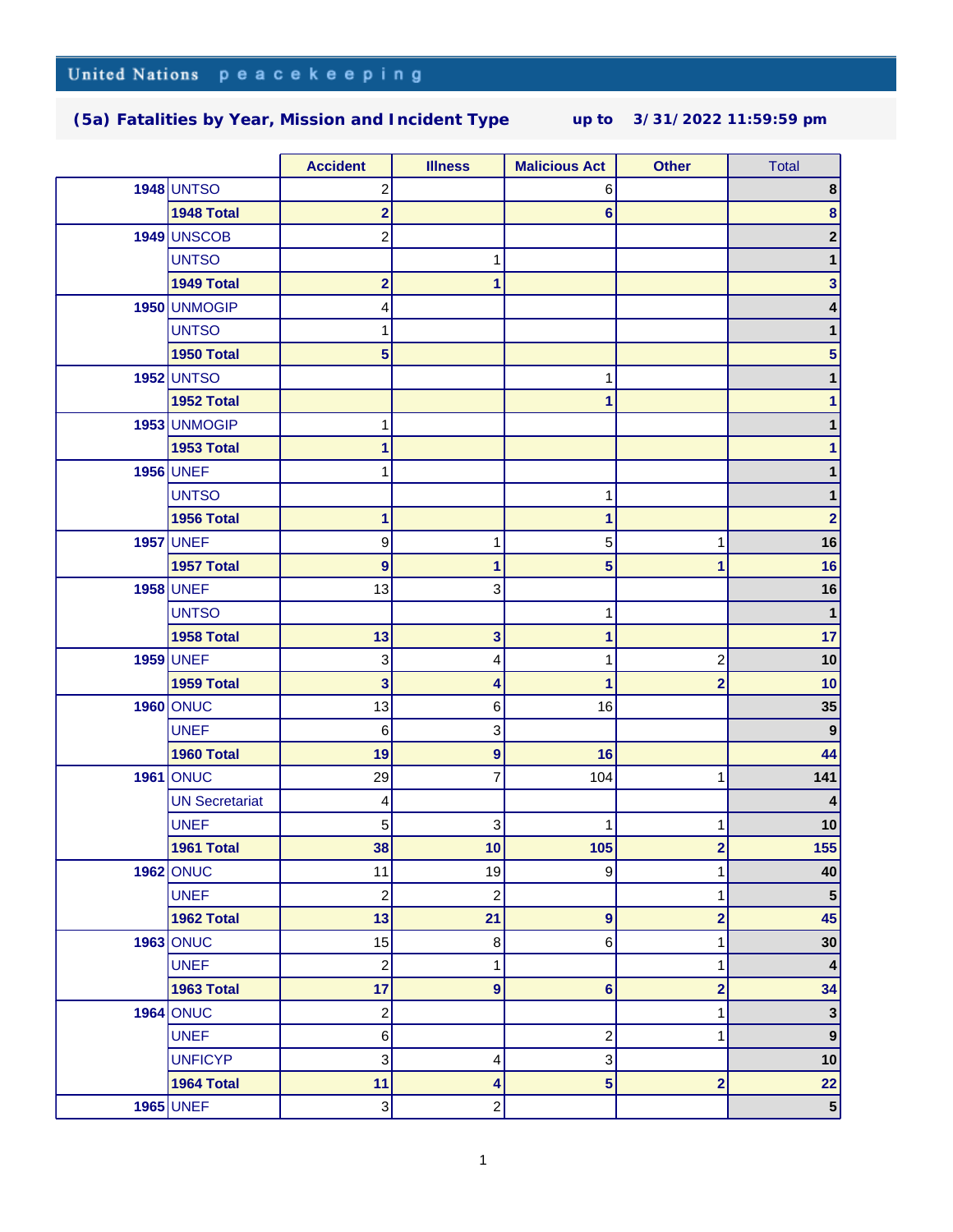|  |                       | <b>Accident</b>         | <b>Illness</b>          | <b>Malicious Act</b>    | <b>Other</b>            | <b>Total</b>     |
|--|-----------------------|-------------------------|-------------------------|-------------------------|-------------------------|------------------|
|  | <b>1948 UNTSO</b>     | 2                       |                         | 6                       |                         | 8                |
|  | 1948 Total            | $\overline{2}$          |                         | 6                       |                         | 8                |
|  | 1949 UNSCOB           | $\overline{c}$          |                         |                         |                         | 2                |
|  | <b>UNTSO</b>          |                         | 1                       |                         |                         | 1                |
|  | 1949 Total            | $\overline{\mathbf{2}}$ | 1                       |                         |                         | 3                |
|  | 1950 UNMOGIP          | 4                       |                         |                         |                         | 4                |
|  | <b>UNTSO</b>          |                         |                         |                         |                         |                  |
|  | 1950 Total            | 5                       |                         |                         |                         | 5                |
|  | <b>1952 UNTSO</b>     |                         |                         | 1                       |                         |                  |
|  | 1952 Total            |                         |                         | 1                       |                         | 1                |
|  | 1953 UNMOGIP          | 1                       |                         |                         |                         |                  |
|  | 1953 Total            | 1                       |                         |                         |                         | 1                |
|  | <b>1956 UNEF</b>      |                         |                         |                         |                         |                  |
|  | <b>UNTSO</b>          |                         |                         | 1                       |                         | 1                |
|  | 1956 Total            | $\mathbf{1}$            |                         | $\mathbf{1}$            |                         | $\overline{2}$   |
|  | <b>1957 UNEF</b>      | 9                       | 1                       | 5                       | 1                       | 16               |
|  | 1957 Total            | $\overline{9}$          | 1                       | 5                       | 1                       | 16               |
|  | <b>1958 UNEF</b>      | 13                      | 3                       |                         |                         | 16               |
|  | <b>UNTSO</b>          |                         |                         | $\mathbf 1$             |                         | $\mathbf{1}$     |
|  | 1958 Total            | 13                      | 3                       | 1                       |                         | 17               |
|  | <b>1959 UNEF</b>      | 3                       | 4                       | 1                       | $\overline{c}$          | 10               |
|  | 1959 Total            | 3                       | 4                       | 1                       | $\mathbf{2}$            | 10               |
|  | <b>1960 ONUC</b>      | 13                      | 6                       | 16                      |                         | 35               |
|  | <b>UNEF</b>           | 6                       | 3                       |                         |                         | $\boldsymbol{9}$ |
|  | 1960 Total            | 19                      | $\boldsymbol{9}$        | 16                      |                         | 44               |
|  | <b>1961 ONUC</b>      | 29                      | 7                       | 104                     | 1                       | 141              |
|  | <b>UN Secretariat</b> | 4                       |                         |                         |                         |                  |
|  | <b>UNEF</b>           | 5                       | 3                       | 1                       | 1                       | 10               |
|  | 1961 Total            | 38                      | 10                      | 105                     | $\overline{2}$          | 155              |
|  | <b>1962 ONUC</b>      | 11                      | 19                      | 9                       | 1                       | 40               |
|  | <b>UNEF</b>           | $\overline{\mathbf{c}}$ | $\overline{\mathbf{c}}$ |                         | 1                       | $5\phantom{1}$   |
|  | 1962 Total            | 13                      | 21                      | 9                       | $\overline{\mathbf{2}}$ | 45               |
|  | <b>1963 ONUC</b>      | 15                      | 8                       | 6                       | 1                       | 30               |
|  | <b>UNEF</b>           | $\overline{c}$          | 1                       |                         | 1                       | $\boldsymbol{4}$ |
|  | 1963 Total            | 17                      | $\boldsymbol{9}$        | 6                       | $\overline{\mathbf{2}}$ | 34               |
|  | <b>1964 ONUC</b>      | $\overline{c}$          |                         |                         | 1                       | $\mathbf 3$      |
|  | <b>UNEF</b>           | $\,6$                   |                         | $\overline{\mathbf{c}}$ | 1                       | $\boldsymbol{9}$ |
|  | <b>UNFICYP</b>        | 3                       | 4                       | 3                       |                         | 10               |
|  | 1964 Total            | 11                      | 4                       | 5                       | $\overline{\mathbf{2}}$ | 22               |
|  | <b>1965 UNEF</b>      | 3                       | $\overline{c}$          |                         |                         | 5 <sup>5</sup>   |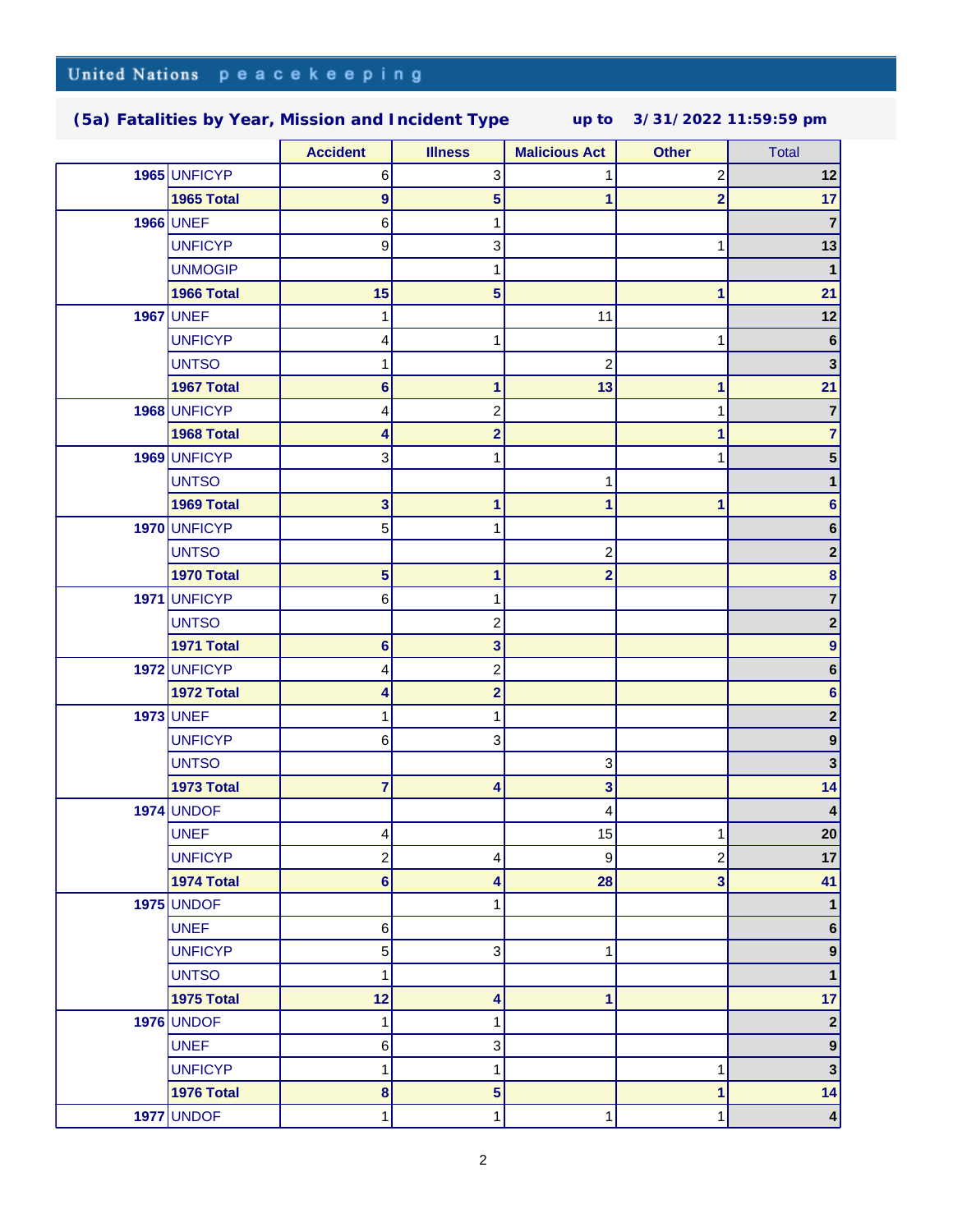|      |                   | <b>Accident</b>  | <b>Illness</b>            | <b>Malicious Act</b>      | <b>Other</b>            | <b>Total</b>            |
|------|-------------------|------------------|---------------------------|---------------------------|-------------------------|-------------------------|
|      | 1965 UNFICYP      | 6                | 3                         | 1                         | 2                       | 12                      |
|      | 1965 Total        | $\boldsymbol{9}$ | 5                         | 1                         | $\overline{\mathbf{2}}$ | 17                      |
|      | <b>1966 UNEF</b>  | 6                | 1                         |                           |                         | $\overline{7}$          |
|      | <b>UNFICYP</b>    | 9                | $\ensuremath{\mathsf{3}}$ |                           |                         | 13                      |
|      | <b>UNMOGIP</b>    |                  | 1                         |                           |                         | $\mathbf{1}$            |
|      | 1966 Total        | 15               | $5\phantom{1}$            |                           |                         | 21                      |
|      | <b>1967</b> UNEF  | 1                |                           | 11                        |                         | 12                      |
|      | <b>UNFICYP</b>    | 4                | 1                         |                           |                         | 6                       |
|      | <b>UNTSO</b>      | 1                |                           | $\overline{c}$            |                         | $\mathbf{3}$            |
|      | 1967 Total        | 6                | 1                         | 13                        | 1                       | 21                      |
|      | 1968 UNFICYP      | 4                | $\overline{c}$            |                           |                         | $\overline{7}$          |
|      | 1968 Total        | 4                | $\overline{2}$            |                           |                         | 7                       |
|      | 1969 UNFICYP      | 3                | 1                         |                           |                         | 5                       |
|      | <b>UNTSO</b>      |                  |                           | 1                         |                         | 1                       |
|      | 1969 Total        | 3                | $\mathbf{1}$              | 1                         | 1                       | 6                       |
|      | 1970 UNFICYP      | 5                | 1                         |                           |                         | 6                       |
|      | <b>UNTSO</b>      |                  |                           | $\mathbf 2$               |                         | 2                       |
|      | 1970 Total        | 5                | 1                         | $\overline{2}$            |                         | 8                       |
|      | 1971 UNFICYP      | 6                | 1                         |                           |                         | 7                       |
|      | <b>UNTSO</b>      |                  | $\overline{c}$            |                           |                         | $\mathbf 2$             |
|      | 1971 Total        | 6                | 3                         |                           |                         | 9                       |
|      | 1972 UNFICYP      | 4                | $\overline{c}$            |                           |                         | 6                       |
|      | 1972 Total        | 4                | $\overline{\mathbf{2}}$   |                           |                         | 6                       |
|      | <b>1973 UNEF</b>  |                  | 1                         |                           |                         | $\mathbf 2$             |
|      | <b>UNFICYP</b>    | 6                | $\mathbf{3}$              |                           |                         | $\boldsymbol{9}$        |
|      | <b>UNTSO</b>      |                  |                           | $\ensuremath{\mathsf{3}}$ |                         | 3                       |
|      | 1973 Total        | $\overline{7}$   | 4                         | 3                         |                         | 14                      |
|      | <b>1974 UNDOF</b> |                  |                           | 4                         |                         |                         |
|      | <b>UNEF</b>       | 4                |                           | 15                        |                         | 20                      |
|      | <b>UNFICYP</b>    | 2                | 4                         | 9                         | $\overline{c}$          | 17                      |
|      | 1974 Total        | 6                | 4                         | 28                        | 3                       | 41                      |
|      | <b>1975 UNDOF</b> |                  | 1                         |                           |                         | 1                       |
|      | <b>UNEF</b>       | 6                |                           |                           |                         | 6                       |
|      | <b>UNFICYP</b>    | 5                | $\mathbf{3}$              | 1                         |                         | $\boldsymbol{9}$        |
|      | <b>UNTSO</b>      | 1                |                           |                           |                         | 1                       |
|      | 1975 Total        | 12               | 4                         | 1                         |                         | 17                      |
|      | <b>1976 UNDOF</b> | 1                | 1                         |                           |                         | $\mathbf 2$             |
|      | <b>UNEF</b>       | 6                | $\ensuremath{\mathsf{3}}$ |                           |                         | $\boldsymbol{9}$        |
|      | <b>UNFICYP</b>    | 1                | 1                         |                           | 1                       | $\mathbf{3}$            |
|      | 1976 Total        | 8                | $\overline{\mathbf{5}}$   |                           | 1                       | 14                      |
| 1977 | <b>UNDOF</b>      | 1                | 1                         | 1                         |                         | $\overline{\mathbf{4}}$ |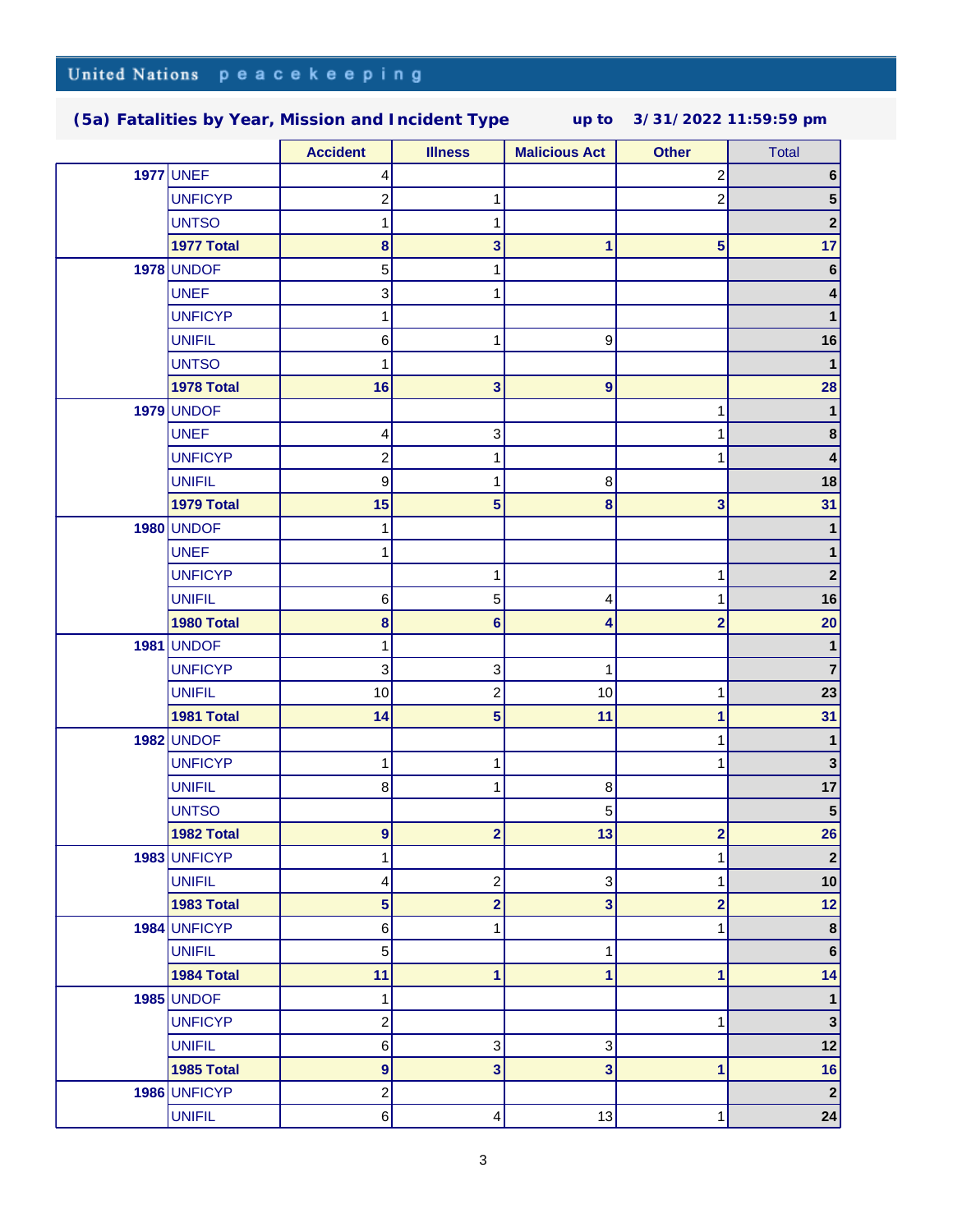|                   | <b>Accident</b>           | <b>Illness</b>            | <b>Malicious Act</b> | <b>Other</b>            | <b>Total</b>     |
|-------------------|---------------------------|---------------------------|----------------------|-------------------------|------------------|
| <b>1977 UNEF</b>  | 4                         |                           |                      | 2                       | 6                |
| <b>UNFICYP</b>    | $\overline{\mathbf{c}}$   | 1                         |                      | 2                       | 5                |
| <b>UNTSO</b>      | 1                         | 1                         |                      |                         | $\boldsymbol{2}$ |
| 1977 Total        | 8                         | 3                         | 1                    | 5                       | 17               |
| <b>1978 UNDOF</b> | 5                         | 1                         |                      |                         | $6\phantom{1}6$  |
| <b>UNEF</b>       | 3                         | 1                         |                      |                         |                  |
| <b>UNFICYP</b>    |                           |                           |                      |                         | 1                |
| <b>UNIFIL</b>     | 6                         | 1                         | 9                    |                         | 16               |
| <b>UNTSO</b>      | 1                         |                           |                      |                         | $\mathbf{1}$     |
| 1978 Total        | 16                        | 3                         | 9                    |                         | 28               |
| <b>1979 UNDOF</b> |                           |                           |                      | 1                       | $\mathbf{1}$     |
| <b>UNEF</b>       | 4                         | 3                         |                      |                         | $\bf 8$          |
| <b>UNFICYP</b>    | $\boldsymbol{2}$          | 1                         |                      |                         | 4                |
| <b>UNIFIL</b>     | 9                         | 1                         | $\bf 8$              |                         | 18               |
| 1979 Total        | 15                        | 5                         | 8                    | 3                       | 31               |
| <b>1980 UNDOF</b> | 1                         |                           |                      |                         | 1                |
| <b>UNEF</b>       | 1                         |                           |                      |                         | 1                |
| <b>UNFICYP</b>    |                           | 1                         |                      | 1                       | $\mathbf{2}$     |
| <b>UNIFIL</b>     | $\,6\,$                   | 5                         | 4                    | 1                       | 16               |
| 1980 Total        | $\pmb{8}$                 | $6\phantom{1}$            | 4                    | $\overline{2}$          | 20               |
| <b>1981 UNDOF</b> | 1                         |                           |                      |                         | 1                |
| <b>UNFICYP</b>    | $\ensuremath{\mathsf{3}}$ | $\ensuremath{\mathsf{3}}$ | 1                    |                         | $\overline{7}$   |
| <b>UNIFIL</b>     | $10$                      | $\overline{\mathbf{c}}$   | 10                   | 1                       | 23               |
| 1981 Total        | 14                        | 5                         | 11                   | 1                       | 31               |
| <b>1982 UNDOF</b> |                           |                           |                      |                         | 1                |
| <b>UNFICYP</b>    | 1                         | 1                         |                      |                         | $\mathbf{3}$     |
| <b>UNIFIL</b>     | 8                         | 1                         | $\bf 8$              |                         | 17               |
| <b>UNTSO</b>      |                           |                           | 5                    |                         | ${\bf 5}$        |
| 1982 Total        | 9                         | $\overline{2}$            | 13                   | 2                       | 26               |
| 1983 UNFICYP      | 1                         |                           |                      | 1                       | $\boldsymbol{2}$ |
| <b>UNIFIL</b>     | 4                         | $\boldsymbol{2}$          | 3                    | 1                       | 10               |
| 1983 Total        | $5\phantom{1}$            | $\overline{\mathbf{2}}$   | 3                    | $\overline{\mathbf{c}}$ | 12               |
| 1984 UNFICYP      | $\,6\,$                   | 1                         |                      | 1                       | $\bf8$           |
| <b>UNIFIL</b>     | $\sqrt{5}$                |                           | 1                    |                         | $\bf 6$          |
| 1984 Total        | 11                        | 1                         | 1                    | 1                       | 14               |
| <b>1985 UNDOF</b> | 1                         |                           |                      |                         | $\mathbf 1$      |
| <b>UNFICYP</b>    | $\overline{c}$            |                           |                      | 1                       | $\mathbf{3}$     |
| <b>UNIFIL</b>     | $\,6\,$                   | 3                         | 3                    |                         | 12               |
| 1985 Total        | $\boldsymbol{9}$          | 3                         | 3                    | 1                       | 16               |
| 1986 UNFICYP      | $\boldsymbol{2}$          |                           |                      |                         | $\mathbf{2}$     |
| <b>UNIFIL</b>     | $\,6$                     | 4                         | $13$                 | 1                       | 24               |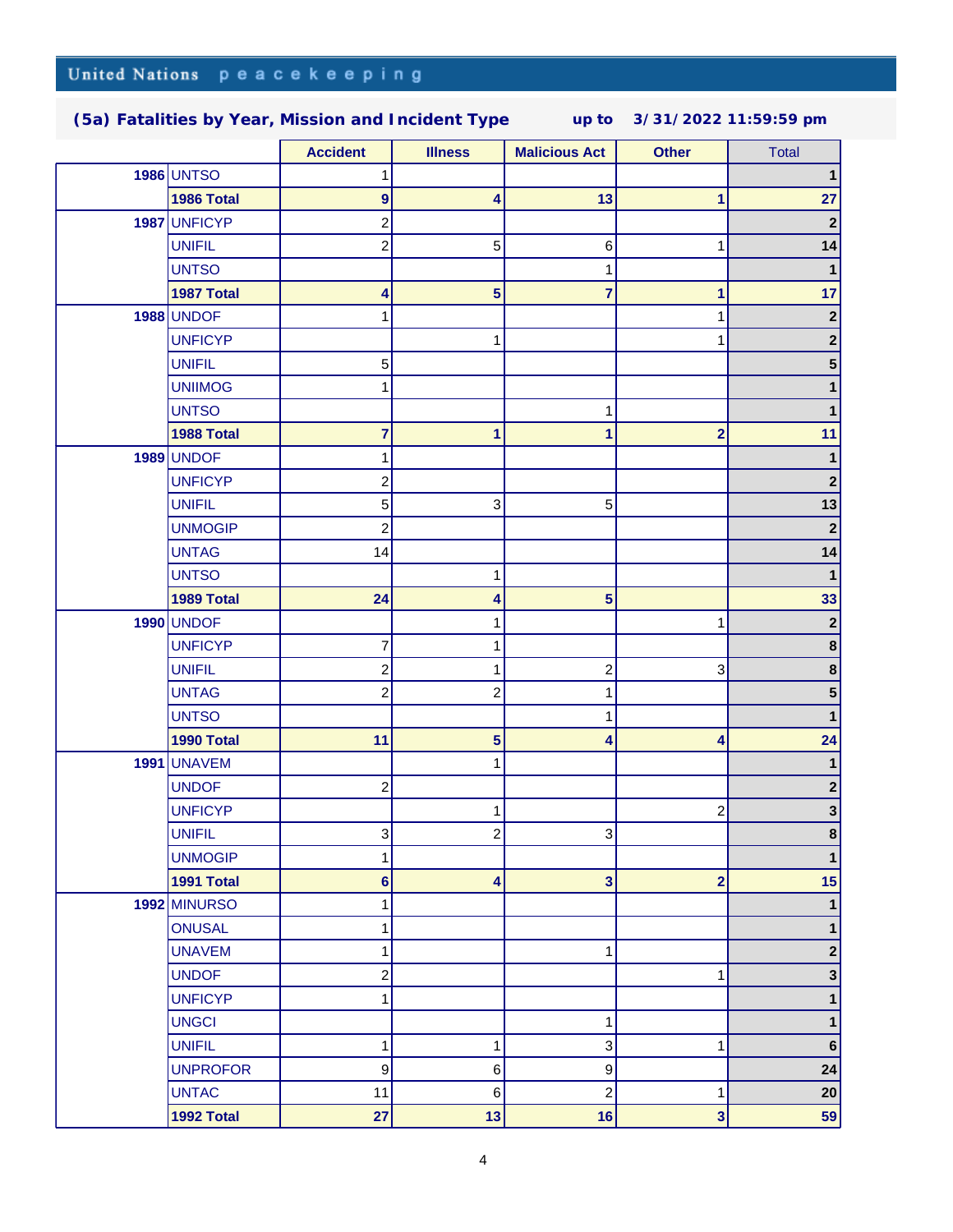|  |                    | <b>Accident</b>         | <b>Illness</b> | <b>Malicious Act</b>    | <b>Other</b>            | <b>Total</b>     |
|--|--------------------|-------------------------|----------------|-------------------------|-------------------------|------------------|
|  | <b>1986 UNTSO</b>  |                         |                |                         |                         | 1                |
|  | 1986 Total         | $\boldsymbol{9}$        | 4              | 13                      | 1                       | 27               |
|  | 1987 UNFICYP       | 2                       |                |                         |                         | $\mathbf 2$      |
|  | <b>UNIFIL</b>      | $\boldsymbol{2}$        | 5              | $\,6$                   | 1                       | 14               |
|  | <b>UNTSO</b>       |                         |                | 1                       |                         | $\mathbf{1}$     |
|  | 1987 Total         | 4                       | 5              | 7                       | 1                       | 17               |
|  | <b>1988 UNDOF</b>  |                         |                |                         |                         | $\mathbf 2$      |
|  | <b>UNFICYP</b>     |                         | 1              |                         |                         | $\mathbf 2$      |
|  | <b>UNIFIL</b>      | $\sqrt{5}$              |                |                         |                         | 5                |
|  | <b>UNIIMOG</b>     | 1                       |                |                         |                         | 1                |
|  | <b>UNTSO</b>       |                         |                | 1                       |                         | 1                |
|  | 1988 Total         | 7                       | 1              | 1                       | $\overline{2}$          | 11               |
|  | <b>1989 UNDOF</b>  | 1                       |                |                         |                         | 1                |
|  | <b>UNFICYP</b>     | 2                       |                |                         |                         | $\mathbf 2$      |
|  | <b>UNIFIL</b>      | 5                       | $\sqrt{3}$     | 5                       |                         | 13               |
|  | <b>UNMOGIP</b>     | $\overline{\mathbf{c}}$ |                |                         |                         | $\mathbf{2}$     |
|  | <b>UNTAG</b>       | 14                      |                |                         |                         | 14               |
|  | <b>UNTSO</b>       |                         | 1              |                         |                         | $\mathbf{1}$     |
|  | 1989 Total         | 24                      | 4              | 5                       |                         | 33               |
|  | <b>1990 UNDOF</b>  |                         | 1              |                         | 1                       | $\boldsymbol{2}$ |
|  | <b>UNFICYP</b>     | 7                       | 1              |                         |                         | $\bf8$           |
|  | <b>UNIFIL</b>      | $\overline{\mathbf{c}}$ | 1              | $\overline{\mathbf{c}}$ | 3                       | $\pmb{8}$        |
|  | <b>UNTAG</b>       | 2                       | 2              | 1                       |                         | 5                |
|  | <b>UNTSO</b>       |                         |                | 1                       |                         | 1                |
|  | 1990 Total         | 11                      | 5              | 4                       | 4                       | 24               |
|  | <b>1991 UNAVEM</b> |                         | 1              |                         |                         | 1                |
|  | <b>UNDOF</b>       | $\boldsymbol{2}$        |                |                         |                         | $\mathbf{2}$     |
|  | <b>UNFICYP</b>     |                         | 1              |                         | $\overline{\mathbf{c}}$ | $\mathbf{3}$     |
|  | <b>UNIFIL</b>      | $\overline{3}$          | $\overline{2}$ | 3                       |                         | 8                |
|  | <b>UNMOGIP</b>     | 1                       |                |                         |                         | 1                |
|  | 1991 Total         | $6\phantom{a}$          | 4              | 3                       | $\overline{\mathbf{2}}$ | 15               |
|  | 1992 MINURSO       | $\mathbf{1}$            |                |                         |                         | $\mathbf{1}$     |
|  | <b>ONUSAL</b>      | 1                       |                |                         |                         | 1                |
|  | <b>UNAVEM</b>      | 1                       |                | 1                       |                         | $\mathbf 2$      |
|  | <b>UNDOF</b>       | $\overline{c}$          |                |                         | 1                       | 3                |
|  | <b>UNFICYP</b>     | $\mathbf{1}$            |                |                         |                         | 1                |
|  | <b>UNGCI</b>       |                         |                | 1                       |                         | 1                |
|  | <b>UNIFIL</b>      | 1                       | 1              | 3                       | 1                       | $\bf 6$          |
|  | <b>UNPROFOR</b>    | $\boldsymbol{9}$        | $\,6$          | 9                       |                         | 24               |
|  | <b>UNTAC</b>       | 11                      | $\,6$          | $\overline{c}$          | 1                       | 20               |
|  | 1992 Total         | 27                      | 13             | 16                      | $\mathbf{3}$            | 59               |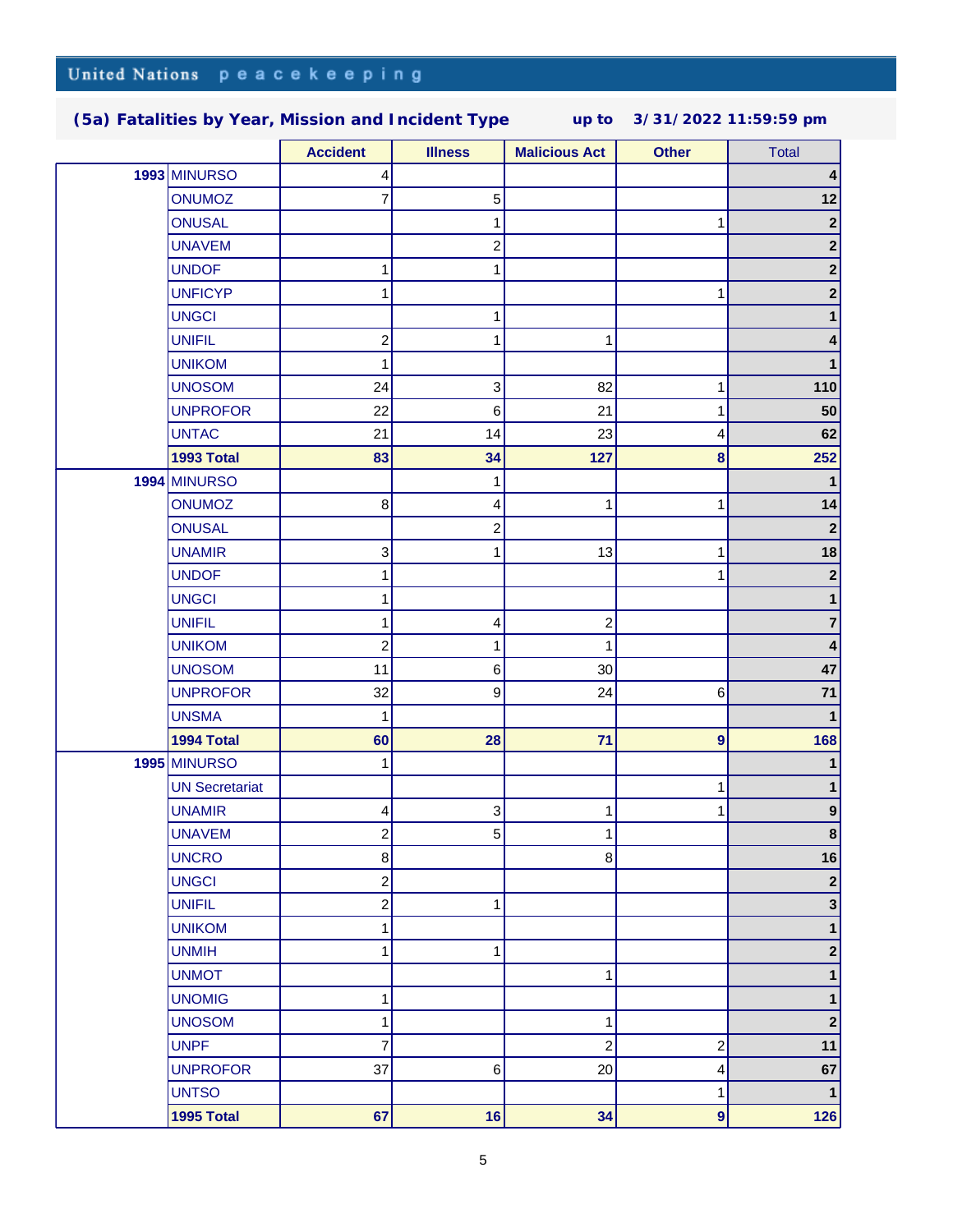|  |                       | <b>Accident</b>         | <b>Illness</b> | <b>Malicious Act</b>    | <b>Other</b>            | <b>Total</b>            |
|--|-----------------------|-------------------------|----------------|-------------------------|-------------------------|-------------------------|
|  | 1993 MINURSO          | 4                       |                |                         |                         | 4                       |
|  | <b>ONUMOZ</b>         | 7                       | 5              |                         |                         | 12                      |
|  | <b>ONUSAL</b>         |                         | 1              |                         | 1                       | $\mathbf{2}$            |
|  | <b>UNAVEM</b>         |                         | $\overline{c}$ |                         |                         | $\mathbf{2}$            |
|  | <b>UNDOF</b>          | 1                       | 1              |                         |                         | $\mathbf{2}$            |
|  | <b>UNFICYP</b>        | 1                       |                |                         |                         | $\mathbf{2}$            |
|  | <b>UNGCI</b>          |                         | 1              |                         |                         | 1                       |
|  | <b>UNIFIL</b>         | $\overline{\mathbf{c}}$ | 1              | 1                       |                         | 4                       |
|  | <b>UNIKOM</b>         | 1                       |                |                         |                         | 1                       |
|  | <b>UNOSOM</b>         | 24                      | 3              | 82                      | 1                       | 110                     |
|  | <b>UNPROFOR</b>       | 22                      | 6              | 21                      |                         | 50                      |
|  | <b>UNTAC</b>          | 21                      | 14             | 23                      | 4                       | 62                      |
|  | 1993 Total            | 83                      | 34             | 127                     | 8                       | 252                     |
|  | 1994 MINURSO          |                         | 1              |                         |                         | 1                       |
|  | <b>ONUMOZ</b>         | $\bf8$                  | 4              | 1                       | 1                       | 14                      |
|  | <b>ONUSAL</b>         |                         | $\overline{c}$ |                         |                         | $\boldsymbol{2}$        |
|  | <b>UNAMIR</b>         | 3                       | 1              | 13                      |                         | 18                      |
|  | <b>UNDOF</b>          | 1                       |                |                         |                         | $\mathbf{2}$            |
|  | <b>UNGCI</b>          | 1                       |                |                         |                         | 1                       |
|  | <b>UNIFIL</b>         | 1                       | 4              | 2                       |                         | $\overline{\mathbf{7}}$ |
|  | <b>UNIKOM</b>         | $\overline{\mathbf{c}}$ | 1              | 1                       |                         | 4                       |
|  | <b>UNOSOM</b>         | 11                      | 6              | 30                      |                         | 47                      |
|  | <b>UNPROFOR</b>       | 32                      | 9              | 24                      | 6                       | 71                      |
|  | <b>UNSMA</b>          | 1                       |                |                         |                         | $\mathbf{1}$            |
|  | 1994 Total            | 60                      | 28             | 71                      | $\boldsymbol{9}$        | 168                     |
|  | 1995 MINURSO          | 1                       |                |                         |                         |                         |
|  | <b>UN Secretariat</b> |                         |                |                         |                         |                         |
|  | <b>UNAMIR</b>         | 4                       | 3              | 1                       |                         | 9                       |
|  | <b>UNAVEM</b>         | $\overline{2}$          | 5              | 1                       |                         | 8                       |
|  | <b>UNCRO</b>          | 8                       |                | $\bf 8$                 |                         | 16                      |
|  | <b>UNGCI</b>          | $\overline{c}$          |                |                         |                         | $\boldsymbol{2}$        |
|  | <b>UNIFIL</b>         | $\overline{c}$          | 1              |                         |                         | $\mathbf{3}$            |
|  | <b>UNIKOM</b>         | 1                       |                |                         |                         | $\mathbf 1$             |
|  | <b>UNMIH</b>          | 1                       | 1              |                         |                         | $\mathbf{2}$            |
|  | <b>UNMOT</b>          |                         |                | 1                       |                         | $\mathbf 1$             |
|  | <b>UNOMIG</b>         | 1                       |                |                         |                         | $\mathbf 1$             |
|  | <b>UNOSOM</b>         | 1                       |                | 1                       |                         | $\mathbf 2$             |
|  | <b>UNPF</b>           | $\overline{7}$          |                | $\overline{\mathbf{c}}$ | $\overline{\mathbf{c}}$ | 11                      |
|  | <b>UNPROFOR</b>       | 37                      | 6              | 20                      | 4                       | 67                      |
|  | <b>UNTSO</b>          |                         |                |                         | 1                       | $\mathbf 1$             |
|  | 1995 Total            | 67                      | 16             | 34                      | $\boldsymbol{9}$        | 126                     |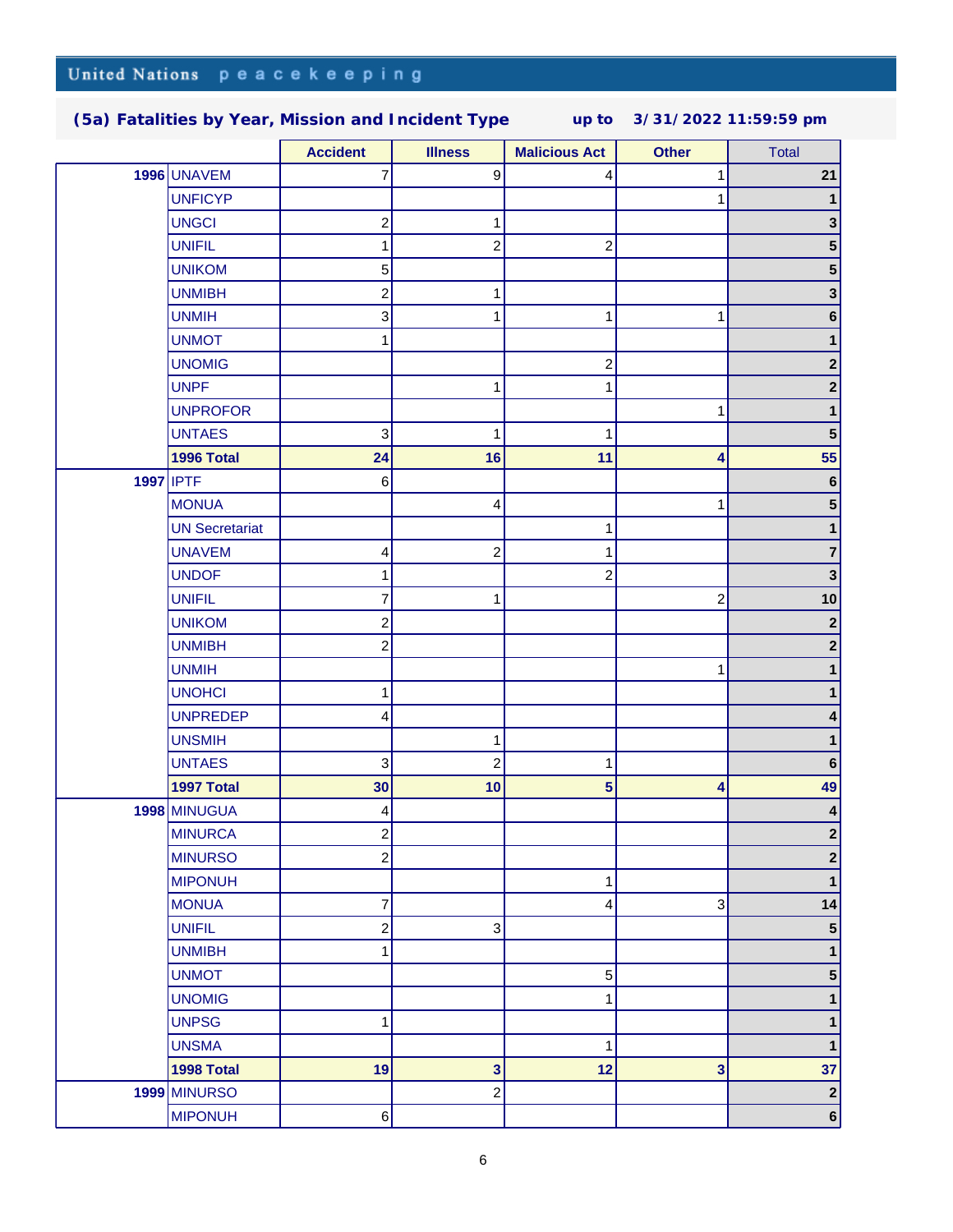|           |                       | <b>Accident</b>         | <b>Illness</b>          | <b>Malicious Act</b>    | <b>Other</b>   | <b>Total</b>                |
|-----------|-----------------------|-------------------------|-------------------------|-------------------------|----------------|-----------------------------|
|           | <b>1996 UNAVEM</b>    | 7                       | $\boldsymbol{9}$        | 4                       |                | 21                          |
|           | <b>UNFICYP</b>        |                         |                         |                         |                | 1                           |
|           | <b>UNGCI</b>          | $\overline{c}$          | 1                       |                         |                | 3                           |
|           | <b>UNIFIL</b>         | 1                       | 2                       | $\boldsymbol{2}$        |                | 5                           |
|           | <b>UNIKOM</b>         | 5                       |                         |                         |                | 5 <sup>1</sup>              |
|           | <b>UNMIBH</b>         | $\overline{c}$          | 1                       |                         |                | 3                           |
|           | <b>UNMIH</b>          | 3                       | 1                       | 1                       | 1              | 6                           |
|           | <b>UNMOT</b>          |                         |                         |                         |                |                             |
|           | <b>UNOMIG</b>         |                         |                         | $\boldsymbol{2}$        |                | $\mathbf 2$                 |
|           | <b>UNPF</b>           |                         | 1                       | 1                       |                | $2\vert$                    |
|           | <b>UNPROFOR</b>       |                         |                         |                         |                |                             |
|           | <b>UNTAES</b>         | 3                       | 1                       | 1                       |                | ${\bf 5}$                   |
|           | 1996 Total            | 24                      | 16                      | 11                      | 4              | 55                          |
| 1997 IPTF |                       | 6                       |                         |                         |                | $\bf 6$                     |
|           | <b>MONUA</b>          |                         | 4                       |                         |                | 5 <sup>1</sup>              |
|           | <b>UN Secretariat</b> |                         |                         | 1                       |                | 1                           |
|           | <b>UNAVEM</b>         | 4                       | $\overline{\mathbf{c}}$ | 1                       |                | 7                           |
|           | <b>UNDOF</b>          |                         |                         | $\overline{c}$          |                | 3                           |
|           | <b>UNIFIL</b>         | 7                       | 1                       |                         | $\overline{c}$ | 10                          |
|           | <b>UNIKOM</b>         | $\overline{c}$          |                         |                         |                | $\mathbf{2}$                |
|           | <b>UNMIBH</b>         | $\overline{\mathbf{c}}$ |                         |                         |                | $\mathbf 2$                 |
|           | <b>UNMIH</b>          |                         |                         |                         | 1              | 1                           |
|           | <b>UNOHCI</b>         | 1                       |                         |                         |                | 1                           |
|           | <b>UNPREDEP</b>       | 4                       |                         |                         |                | 4                           |
|           | <b>UNSMIH</b>         |                         | 1                       |                         |                | 1                           |
|           | <b>UNTAES</b>         | 3                       | $\overline{\mathbf{c}}$ | 1                       |                | $\bf 6$                     |
|           | 1997 Total            | 30                      | 10                      | $\overline{\mathbf{5}}$ | 4              | 49                          |
|           | 1998 MINUGUA          | 4                       |                         |                         |                | 4                           |
|           | <b>MINURCA</b>        | $\overline{2}$          |                         |                         |                | $\mathbf{2}$                |
|           | <b>MINURSO</b>        | $\overline{\mathbf{c}}$ |                         |                         |                | $\mathbf{2}$                |
|           | <b>MIPONUH</b>        |                         |                         | $\mathbf{1}$            |                | 1                           |
|           | <b>MONUA</b>          | $\overline{7}$          |                         | $\overline{\mathbf{4}}$ | 3              | 14                          |
|           | <b>UNIFIL</b>         | $\overline{c}$          | 3                       |                         |                | 5 <sup>5</sup>              |
|           | <b>UNMIBH</b>         | 1                       |                         |                         |                | $\mathbf 1$                 |
|           | <b>UNMOT</b>          |                         |                         | $\mathbf 5$             |                | 5 <sup>1</sup>              |
|           | <b>UNOMIG</b>         |                         |                         | 1                       |                | 1                           |
|           | <b>UNPSG</b>          | 1                       |                         |                         |                | 1                           |
|           | <b>UNSMA</b>          |                         |                         | 1                       |                | $\mathbf 1$                 |
|           | 1998 Total            | 19                      | 3                       | 12                      | 3              | 37                          |
|           | 1999 MINURSO          |                         | 2                       |                         |                | $\left  \mathbf{2} \right $ |
|           | <b>MIPONUH</b>        | $\,6$                   |                         |                         |                | $6\vert$                    |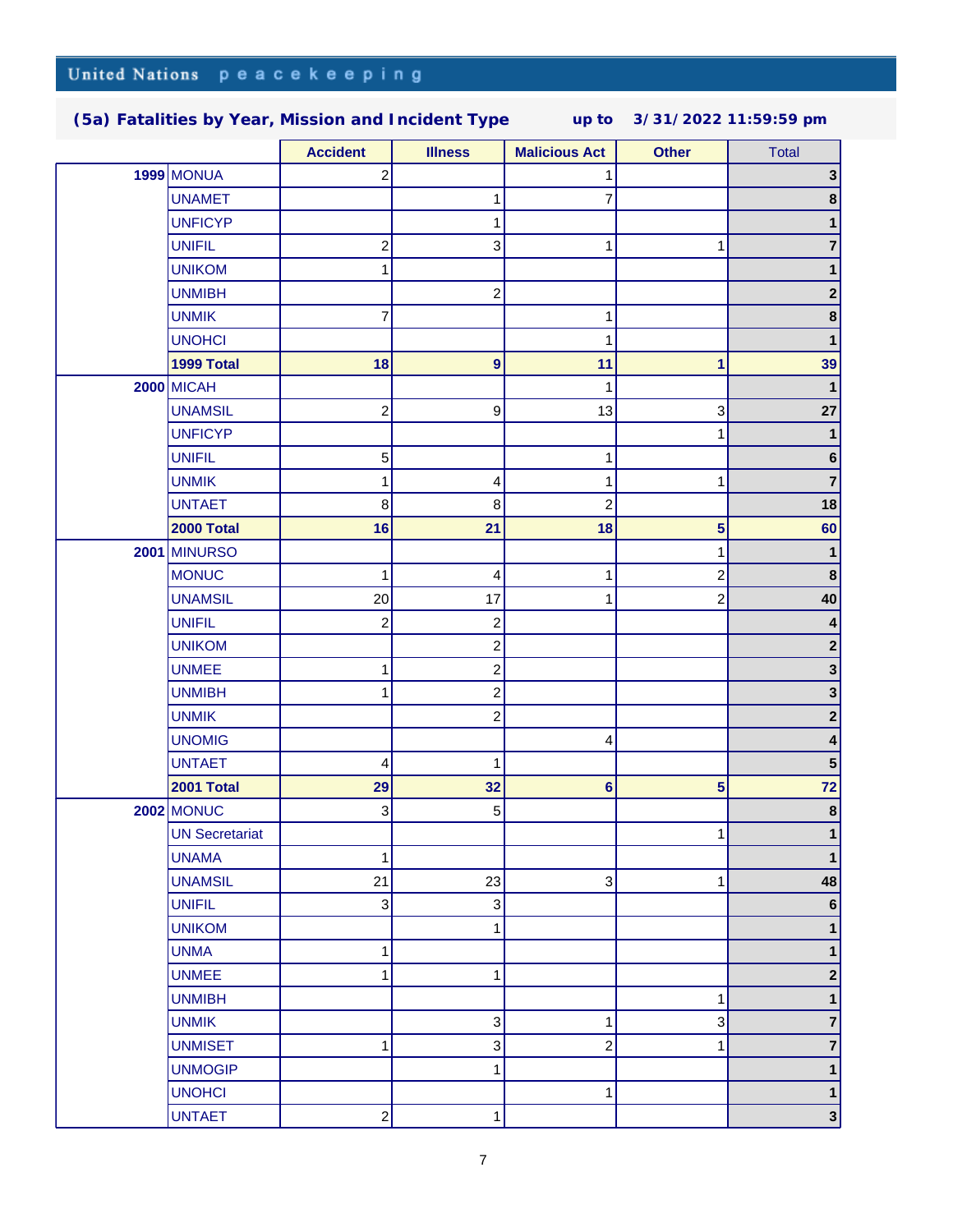|                       | <b>Accident</b>           | <b>Illness</b>            | <b>Malicious Act</b>    | <b>Other</b>            | <b>Total</b>            |
|-----------------------|---------------------------|---------------------------|-------------------------|-------------------------|-------------------------|
| <b>1999 MONUA</b>     | $\overline{c}$            |                           | 1                       |                         | 3 <sup>1</sup>          |
| <b>UNAMET</b>         |                           | 1                         | 7                       |                         | $\bf8$                  |
| <b>UNFICYP</b>        |                           | 1                         |                         |                         | 1                       |
| <b>UNIFIL</b>         | $\overline{c}$            | $\ensuremath{\mathsf{3}}$ | 1                       | 1                       | 7                       |
| <b>UNIKOM</b>         | 1                         |                           |                         |                         | 1                       |
| <b>UNMIBH</b>         |                           | $\boldsymbol{2}$          |                         |                         | $\boldsymbol{2}$        |
| <b>UNMIK</b>          | $\overline{7}$            |                           | 1                       |                         | $\boldsymbol{8}$        |
| <b>UNOHCI</b>         |                           |                           | 1                       |                         | 1                       |
| 1999 Total            | 18                        | $\overline{9}$            | 11                      | 1                       | 39                      |
| <b>2000 MICAH</b>     |                           |                           | 1                       |                         | 1                       |
| <b>UNAMSIL</b>        | $\overline{c}$            | $\boldsymbol{9}$          | 13                      | 3                       | 27                      |
| <b>UNFICYP</b>        |                           |                           |                         |                         | 1                       |
| <b>UNIFIL</b>         | 5                         |                           | 1                       |                         | 6                       |
| <b>UNMIK</b>          | 1                         | 4                         | 1                       | 1                       | $\overline{7}$          |
| <b>UNTAET</b>         | 8                         | $\bf 8$                   | $\boldsymbol{2}$        |                         | 18                      |
| 2000 Total            | 16                        | 21                        | 18                      | 5                       | 60                      |
| 2001 MINURSO          |                           |                           |                         |                         | $\mathbf{1}$            |
| <b>MONUC</b>          | 1                         | 4                         | 1                       | 2                       | $\boldsymbol{8}$        |
| <b>UNAMSIL</b>        | 20                        | 17                        | 1                       | 2                       | 40                      |
| <b>UNIFIL</b>         | $\overline{c}$            | $\overline{c}$            |                         |                         | 4                       |
| <b>UNIKOM</b>         |                           | $\boldsymbol{2}$          |                         |                         | $\mathbf{2}$            |
| <b>UNMEE</b>          | 1                         | $\boldsymbol{2}$          |                         |                         | $\mathbf{3}$            |
| <b>UNMIBH</b>         | 1                         | $\boldsymbol{2}$          |                         |                         | $\mathbf{3}$            |
| <b>UNMIK</b>          |                           | 2                         |                         |                         | $\mathbf{2}$            |
| <b>UNOMIG</b>         |                           |                           | 4                       |                         | 4                       |
| <b>UNTAET</b>         | 4                         | 1                         |                         |                         | ${\bf 5}$               |
| 2001 Total            | 29                        | 32                        | $6\phantom{a}$          | $\overline{\mathbf{5}}$ | 72                      |
| <b>2002 MONUC</b>     | 3                         | 5                         |                         |                         | $\boldsymbol{8}$        |
| <b>UN Secretariat</b> |                           |                           |                         | 1                       | 1                       |
| <b>UNAMA</b>          | 1                         |                           |                         |                         | $\mathbf{1}$            |
| <b>UNAMSIL</b>        | 21                        | 23                        | 3                       | 1                       | 48                      |
| <b>UNIFIL</b>         | $\ensuremath{\mathsf{3}}$ | $\mathbf{3}$              |                         |                         | $\bf 6$                 |
| <b>UNIKOM</b>         |                           | 1                         |                         |                         | 1                       |
| <b>UNMA</b>           | $\mathbf{1}$              |                           |                         |                         | 1                       |
| <b>UNMEE</b>          | 1                         | 1                         |                         |                         | $\mathbf 2$             |
| <b>UNMIBH</b>         |                           |                           |                         | 1                       | 1                       |
| <b>UNMIK</b>          |                           | $\ensuremath{\mathsf{3}}$ | 1                       | 3                       | $\overline{\mathbf{r}}$ |
| <b>UNMISET</b>        | 1                         | $\ensuremath{\mathsf{3}}$ | $\overline{\mathbf{c}}$ | 1                       | $\overline{\mathbf{r}}$ |
| <b>UNMOGIP</b>        |                           | 1                         |                         |                         | 1                       |
| <b>UNOHCI</b>         |                           |                           | 1                       |                         | 1                       |
| <b>UNTAET</b>         | $\overline{\mathbf{c}}$   | 1                         |                         |                         | 3                       |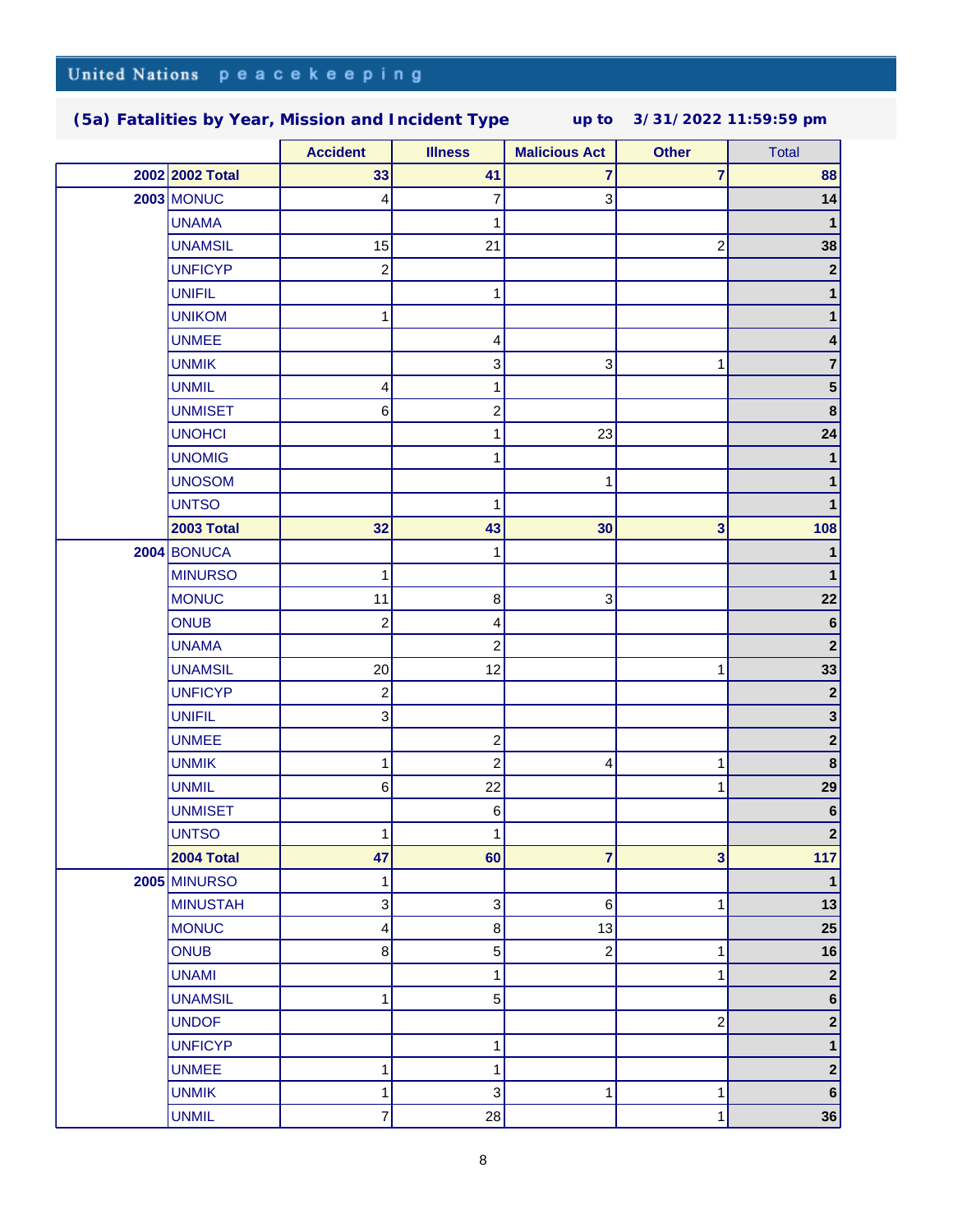|  |                     | <b>Accident</b>           | <b>Illness</b>            | <b>Malicious Act</b>    | <b>Other</b>            | <b>Total</b>     |
|--|---------------------|---------------------------|---------------------------|-------------------------|-------------------------|------------------|
|  | 2002 2002 Total     | 33                        | 41                        | 7                       | $\overline{7}$          | 88               |
|  | <b>2003 MONUC</b>   | 4                         | 7                         | 3                       |                         | 14               |
|  | <b>UNAMA</b>        |                           | 1                         |                         |                         | $\mathbf{1}$     |
|  | <b>UNAMSIL</b>      | 15                        | 21                        |                         | $\overline{\mathbf{c}}$ | 38               |
|  | <b>UNFICYP</b>      | $\overline{c}$            |                           |                         |                         | $\mathbf{2}$     |
|  | <b>UNIFIL</b>       |                           | 1                         |                         |                         | 1                |
|  | <b>UNIKOM</b>       | 1                         |                           |                         |                         | 1                |
|  | <b>UNMEE</b>        |                           | 4                         |                         |                         | 4                |
|  | <b>UNMIK</b>        |                           | 3                         | 3                       | 1                       | $\mathbf{7}$     |
|  | <b>UNMIL</b>        | 4                         | 1                         |                         |                         | 5 <sup>5</sup>   |
|  | <b>UNMISET</b>      | 6                         | $\overline{\mathbf{c}}$   |                         |                         | $\boldsymbol{8}$ |
|  | <b>UNOHCI</b>       |                           | 1                         | 23                      |                         | 24               |
|  | <b>UNOMIG</b>       |                           | 1                         |                         |                         | $\mathbf{1}$     |
|  | <b>UNOSOM</b>       |                           |                           | 1                       |                         | 1                |
|  | <b>UNTSO</b>        |                           | 1                         |                         |                         | 1                |
|  | <b>2003 Total</b>   | 32                        | 43                        | 30                      | 3                       | 108              |
|  | 2004 BONUCA         |                           | 1                         |                         |                         | 1                |
|  | <b>MINURSO</b>      | 1                         |                           |                         |                         | 1                |
|  | <b>MONUC</b>        | 11                        | $\bf8$                    | 3                       |                         | 22               |
|  | <b>ONUB</b>         | $\overline{\mathbf{c}}$   | 4                         |                         |                         | 6                |
|  | <b>UNAMA</b>        |                           | $\overline{c}$            |                         |                         | $\boldsymbol{2}$ |
|  | <b>UNAMSIL</b>      | 20                        | 12                        |                         | 1                       | 33               |
|  | <b>UNFICYP</b>      | $\overline{\mathbf{c}}$   |                           |                         |                         | $\mathbf{2}$     |
|  | <b>UNIFIL</b>       | $\ensuremath{\mathsf{3}}$ |                           |                         |                         | $\mathbf{3}$     |
|  | <b>UNMEE</b>        |                           | $\boldsymbol{2}$          |                         |                         | $\mathbf{2}$     |
|  | <b>UNMIK</b>        | 1                         | $\overline{c}$            | 4                       | 1                       | $\boldsymbol{8}$ |
|  | <b>UNMIL</b>        | $\,6\,$                   | 22                        |                         | 1                       | 29               |
|  | <b>UNMISET</b>      |                           | $\,6$                     |                         |                         | 6                |
|  | <b>UNTSO</b>        | 1                         | 1                         |                         |                         | $\mathbf{2}$     |
|  | <b>2004 Total</b>   | 47                        | 60                        | 7                       | 3                       | 117              |
|  | <b>2005 MINURSO</b> | 1                         |                           |                         |                         | 1                |
|  | <b>MINUSTAH</b>     | $\mathsf 3$               | 3                         | 6                       | 1                       | 13               |
|  | <b>MONUC</b>        | 4                         | 8                         | 13                      |                         | 25               |
|  | <b>ONUB</b>         | 8                         | 5                         | $\overline{\mathbf{c}}$ | 1                       | 16               |
|  | <b>UNAMI</b>        |                           | 1                         |                         | 1                       | $\mathbf{2}$     |
|  | <b>UNAMSIL</b>      | 1                         | 5                         |                         |                         | 6 <sup>1</sup>   |
|  | <b>UNDOF</b>        |                           |                           |                         | $\boldsymbol{2}$        | $\mathbf{2}$     |
|  | <b>UNFICYP</b>      |                           | 1                         |                         |                         | $\mathbf 1$      |
|  | <b>UNMEE</b>        | 1                         | 1                         |                         |                         | $\mathbf{2}$     |
|  | <b>UNMIK</b>        | 1                         | $\ensuremath{\mathsf{3}}$ | 1                       | 1                       | 6                |
|  | <b>UNMIL</b>        | 7                         | 28                        |                         | 1                       | 36               |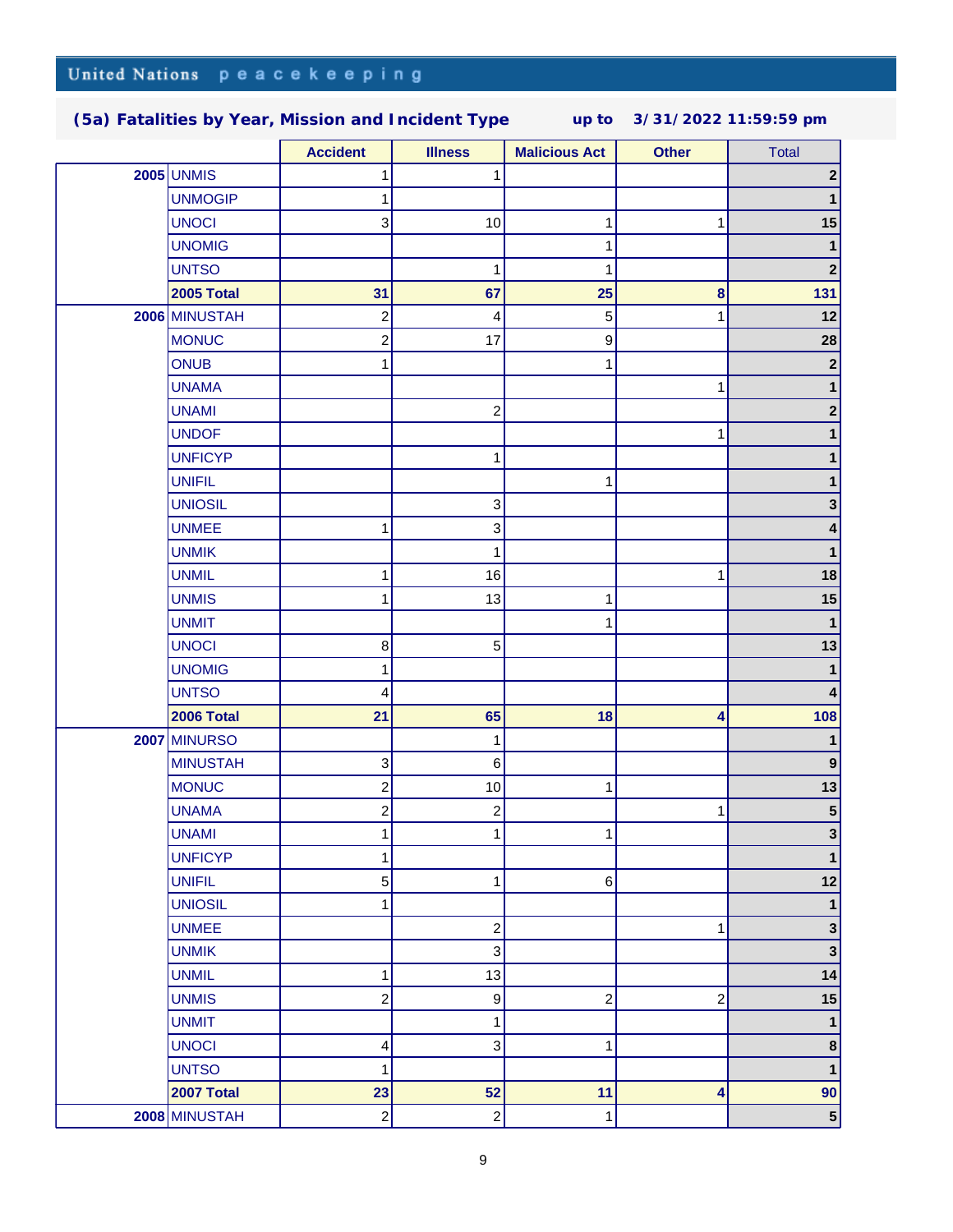|  |                     | <b>Accident</b>         | <b>Illness</b>          | <b>Malicious Act</b>    | <b>Other</b>            | <b>Total</b>            |
|--|---------------------|-------------------------|-------------------------|-------------------------|-------------------------|-------------------------|
|  | <b>2005 UNMIS</b>   |                         | 1                       |                         |                         | $\mathbf{2}$            |
|  | <b>UNMOGIP</b>      |                         |                         |                         |                         | $\mathbf 1$             |
|  | <b>UNOCI</b>        | 3                       | 10                      | 1                       | 1                       | 15                      |
|  | <b>UNOMIG</b>       |                         |                         | 1                       |                         |                         |
|  | <b>UNTSO</b>        |                         | 1                       | 1                       |                         | $\mathbf{2}$            |
|  | 2005 Total          | 31                      | 67                      | 25                      | 8                       | 131                     |
|  | 2006 MINUSTAH       | $\overline{\mathbf{c}}$ | 4                       | $\mathbf 5$             | 1                       | 12                      |
|  | <b>MONUC</b>        | $\overline{c}$          | 17                      | 9                       |                         | 28                      |
|  | <b>ONUB</b>         | 1                       |                         | 1                       |                         | $\mathbf 2$             |
|  | <b>UNAMA</b>        |                         |                         |                         | 1                       |                         |
|  | <b>UNAMI</b>        |                         | $\overline{c}$          |                         |                         | $\mathbf 2$             |
|  | <b>UNDOF</b>        |                         |                         |                         | 1                       | 1                       |
|  | <b>UNFICYP</b>      |                         | 1                       |                         |                         | 1                       |
|  | <b>UNIFIL</b>       |                         |                         | 1                       |                         | 1                       |
|  | <b>UNIOSIL</b>      |                         | $\overline{3}$          |                         |                         | 3                       |
|  | <b>UNMEE</b>        | 1                       | 3                       |                         |                         | 4                       |
|  | <b>UNMIK</b>        |                         | 1                       |                         |                         | 1                       |
|  | <b>UNMIL</b>        | 1                       | 16                      |                         | 1                       | 18                      |
|  | <b>UNMIS</b>        | 1                       | 13                      | 1                       |                         | 15                      |
|  | <b>UNMIT</b>        |                         |                         | 1                       |                         | $\mathbf{1}$            |
|  | <b>UNOCI</b>        | $\,8\,$                 | $5\overline{)}$         |                         |                         | 13                      |
|  | <b>UNOMIG</b>       | 1                       |                         |                         |                         | 1                       |
|  | <b>UNTSO</b>        | 4                       |                         |                         |                         | 4                       |
|  | 2006 Total          | 21                      | 65                      | 18                      | 4                       | 108                     |
|  | <b>2007 MINURSO</b> |                         | 1                       |                         |                         | 1                       |
|  | <b>MINUSTAH</b>     | 3                       | 6                       |                         |                         | $\boldsymbol{9}$        |
|  | <b>MONUC</b>        | $\overline{\mathbf{c}}$ | $10$                    | $\mathbf 1$             |                         | 13                      |
|  | <b>UNAMA</b>        | $\overline{\mathbf{c}}$ | $\overline{\mathbf{c}}$ |                         | 1                       | 5 <sup>1</sup>          |
|  | <b>UNAMI</b>        | 1                       | 1                       | 1                       |                         | $\mathbf{3}$            |
|  | <b>UNFICYP</b>      | 1                       |                         |                         |                         | 1                       |
|  | <b>UNIFIL</b>       | 5                       | 1                       | 6                       |                         | 12                      |
|  | <b>UNIOSIL</b>      | 1                       |                         |                         |                         | $\mathbf{1}$            |
|  | <b>UNMEE</b>        |                         | $\overline{c}$          |                         | 1                       | $\mathbf{3}$            |
|  | <b>UNMIK</b>        |                         | 3                       |                         |                         | $\overline{\mathbf{3}}$ |
|  | <b>UNMIL</b>        |                         |                         |                         |                         | 14                      |
|  | <b>UNMIS</b>        | 1                       | 13                      |                         |                         | 15                      |
|  |                     | $\overline{c}$          | 9                       | $\overline{\mathbf{c}}$ | $\overline{\mathbf{c}}$ |                         |
|  | <b>UNMIT</b>        |                         | 1                       |                         |                         | $\mathbf{1}$            |
|  | <b>UNOCI</b>        | 4                       | $\overline{3}$          | 1                       |                         | $\boldsymbol{8}$        |
|  | <b>UNTSO</b>        | 1                       |                         |                         |                         | $\mathbf{1}$            |
|  | 2007 Total          | 23                      | 52                      | 11                      | 4                       | 90                      |
|  | 2008 MINUSTAH       | $\overline{c}$          | $\mathbf{2}$            | $\mathbf 1$             |                         | $\vert 5 \vert$         |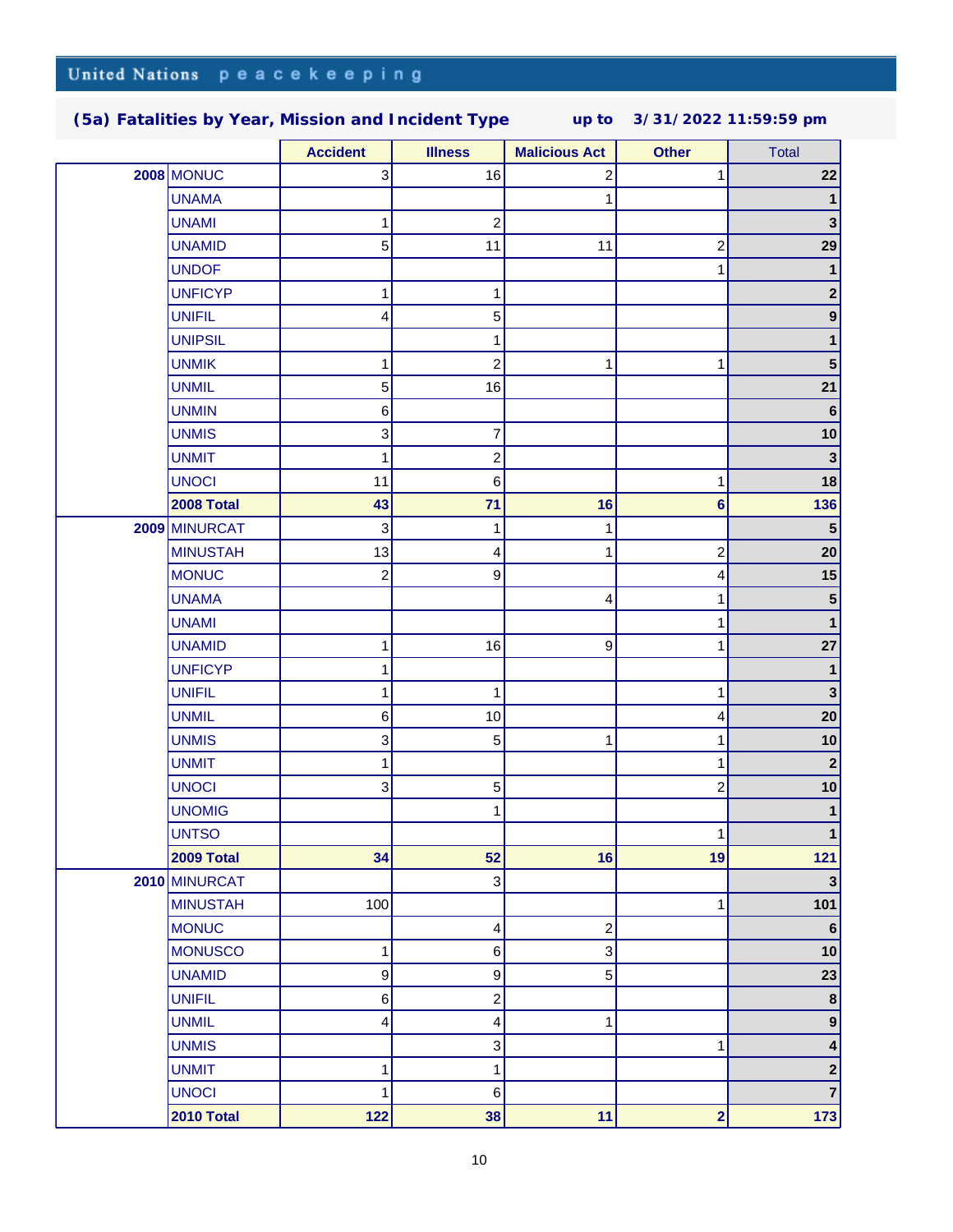|  |                   | <b>Accident</b> | <b>Illness</b>          | <b>Malicious Act</b>      | <b>Other</b>            | <b>Total</b>     |
|--|-------------------|-----------------|-------------------------|---------------------------|-------------------------|------------------|
|  | <b>2008 MONUC</b> | 3               | 16                      | 2                         |                         | 22               |
|  | <b>UNAMA</b>      |                 |                         | 1                         |                         | $\mathbf 1$      |
|  | <b>UNAMI</b>      | 1               | $\overline{\mathbf{c}}$ |                           |                         | 3                |
|  | <b>UNAMID</b>     | 5               | 11                      | 11                        | $\overline{c}$          | 29               |
|  | <b>UNDOF</b>      |                 |                         |                           |                         | $\mathbf{1}$     |
|  | <b>UNFICYP</b>    | 1               | 1                       |                           |                         | $\mathbf{2}$     |
|  | <b>UNIFIL</b>     | 4               | 5                       |                           |                         | 9                |
|  | <b>UNIPSIL</b>    |                 | 1                       |                           |                         | 1                |
|  | <b>UNMIK</b>      | 1               | $\overline{\mathbf{c}}$ | 1                         | 1                       | 5 <sup>5</sup>   |
|  | <b>UNMIL</b>      | 5               | 16                      |                           |                         | 21               |
|  | <b>UNMIN</b>      | 6               |                         |                           |                         | 6                |
|  | <b>UNMIS</b>      | 3               | 7                       |                           |                         | 10               |
|  | <b>UNMIT</b>      | 1               | $\overline{\mathbf{c}}$ |                           |                         | $\mathbf{3}$     |
|  | <b>UNOCI</b>      | 11              | 6                       |                           | 1                       | 18               |
|  | 2008 Total        | 43              | 71                      | 16                        | $6\phantom{1}6$         | 136              |
|  | 2009 MINURCAT     | 3               | 1                       | 1                         |                         | 5 <sub>5</sub>   |
|  | <b>MINUSTAH</b>   | 13              | 4                       | 1                         | $\overline{\mathbf{c}}$ | 20               |
|  | <b>MONUC</b>      | $\overline{c}$  | 9                       |                           | 4                       | 15               |
|  | <b>UNAMA</b>      |                 |                         | 4                         | 1                       | 5 <sup>5</sup>   |
|  | <b>UNAMI</b>      |                 |                         |                           |                         | $\mathbf{1}$     |
|  | <b>UNAMID</b>     | 1               | 16                      | 9                         | 1                       | 27               |
|  | <b>UNFICYP</b>    | 1               |                         |                           |                         | $\mathbf{1}$     |
|  | <b>UNIFIL</b>     | 1               | 1                       |                           | 1                       | $\mathbf{3}$     |
|  | <b>UNMIL</b>      | 6               | $10$                    |                           | 4                       | 20               |
|  | <b>UNMIS</b>      | 3               | 5                       | 1                         | 1                       | 10               |
|  | <b>UNMIT</b>      | 1               |                         |                           | 1                       | $\mathbf{2}$     |
|  | <b>UNOCI</b>      | 3               | 5                       |                           | $\overline{c}$          | 10               |
|  | <b>UNOMIG</b>     |                 | 1                       |                           |                         | 1                |
|  | <b>UNTSO</b>      |                 |                         |                           | 1                       |                  |
|  | <b>2009 Total</b> | 34              | 52                      | 16                        | 19                      | 121              |
|  | 2010 MINURCAT     |                 | $\sqrt{3}$              |                           |                         | 3                |
|  | <b>MINUSTAH</b>   | 100             |                         |                           | 1                       | 101              |
|  | <b>MONUC</b>      |                 | 4                       | $\mathbf 2$               |                         | 6                |
|  | <b>MONUSCO</b>    | 1               | $\,6$                   | $\ensuremath{\mathsf{3}}$ |                         | 10               |
|  | <b>UNAMID</b>     | 9               | 9                       | $\sqrt{5}$                |                         | 23               |
|  | <b>UNIFIL</b>     | $\,6$           | $\overline{\mathbf{c}}$ |                           |                         | $\boldsymbol{8}$ |
|  | <b>UNMIL</b>      | 4               | 4                       | 1                         |                         | $\mathbf{9}$     |
|  | <b>UNMIS</b>      |                 | $\overline{3}$          |                           | 1                       | 4                |
|  | <b>UNMIT</b>      | 1               | 1                       |                           |                         | $\mathbf{2}$     |
|  | <b>UNOCI</b>      | $\mathbf{1}$    | $\,6$                   |                           |                         | $\overline{7}$   |
|  | 2010 Total        | 122             | 38                      | 11                        | $\overline{\mathbf{2}}$ | 173              |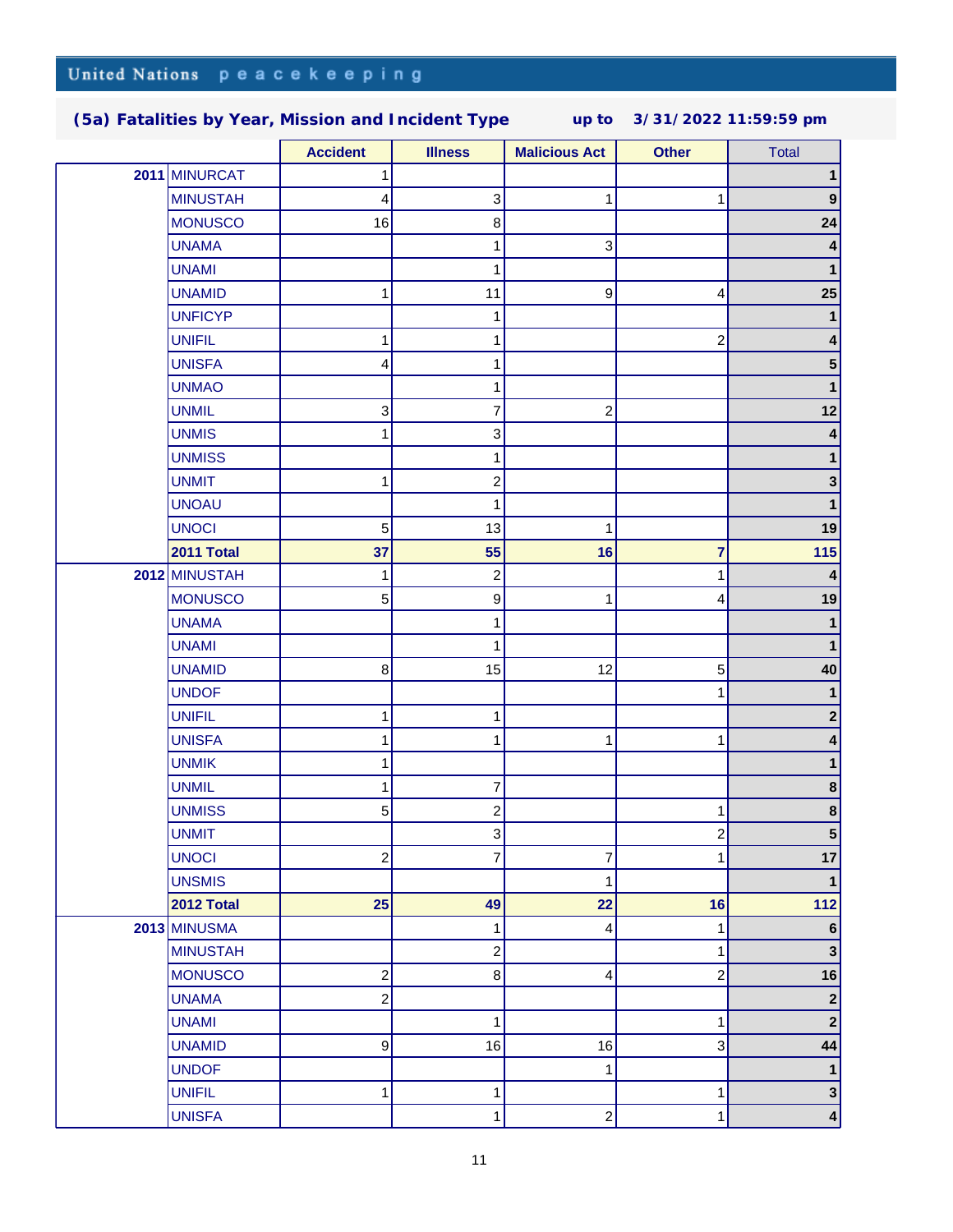|  |                     | <b>Accident</b>         | <b>Illness</b>            | <b>Malicious Act</b>    | <b>Other</b> | <b>Total</b>     |
|--|---------------------|-------------------------|---------------------------|-------------------------|--------------|------------------|
|  | 2011 MINURCAT       | 1                       |                           |                         |              | 1                |
|  | <b>MINUSTAH</b>     | 4                       | $\ensuremath{\mathsf{3}}$ | 1                       |              | $\boldsymbol{9}$ |
|  | <b>MONUSCO</b>      | 16                      | 8                         |                         |              | 24               |
|  | <b>UNAMA</b>        |                         | 1                         | 3                       |              |                  |
|  | <b>UNAMI</b>        |                         | 1                         |                         |              |                  |
|  | <b>UNAMID</b>       | 1                       | 11                        | $\boldsymbol{9}$        | 4            | 25               |
|  | <b>UNFICYP</b>      |                         | 1                         |                         |              | 1                |
|  | <b>UNIFIL</b>       | 1                       | 1                         |                         | 2            | 4                |
|  | <b>UNISFA</b>       | $\overline{\mathbf{4}}$ | 1                         |                         |              | 5 <sup>5</sup>   |
|  | <b>UNMAO</b>        |                         | 1                         |                         |              | 1                |
|  | <b>UNMIL</b>        | 3                       | 7                         | $\overline{c}$          |              | 12               |
|  | <b>UNMIS</b>        | 1                       | 3                         |                         |              | 4                |
|  | <b>UNMISS</b>       |                         | 1                         |                         |              | 1                |
|  | <b>UNMIT</b>        | 1                       | $\boldsymbol{2}$          |                         |              | 3 <sup>1</sup>   |
|  | <b>UNOAU</b>        |                         | 1                         |                         |              | $\mathbf{1}$     |
|  | <b>UNOCI</b>        | $\sqrt{5}$              | 13                        | 1                       |              | 19               |
|  | 2011 Total          | 37                      | 55                        | 16                      | 7            | 115              |
|  | 2012 MINUSTAH       | 1                       | $\overline{\mathbf{c}}$   |                         |              | 4                |
|  | <b>MONUSCO</b>      | 5                       | 9                         | 1                       | 4            | 19               |
|  | <b>UNAMA</b>        |                         | 1                         |                         |              | $\mathbf{1}$     |
|  | <b>UNAMI</b>        |                         | 1                         |                         |              | 1                |
|  | <b>UNAMID</b>       | 8                       | 15                        | 12                      | 5            | 40               |
|  | <b>UNDOF</b>        |                         |                           |                         |              | 1                |
|  | <b>UNIFIL</b>       | 1                       | 1                         |                         |              | $\mathbf{2}$     |
|  | <b>UNISFA</b>       | 1                       | 1                         | 1                       |              | 4                |
|  | <b>UNMIK</b>        | 1                       |                           |                         |              |                  |
|  | <b>UNMIL</b>        | 1                       | 7                         |                         |              | 8                |
|  | <b>UNMISS</b>       | 5                       | $\overline{\mathbf{c}}$   |                         |              | $\boldsymbol{8}$ |
|  | <b>UNMIT</b>        |                         | 3                         |                         | 2            | 5                |
|  | <b>UNOCI</b>        | $\overline{\mathbf{c}}$ | 7                         | $\overline{\mathbf{7}}$ | 1            | 17               |
|  | <b>UNSMIS</b>       |                         |                           | $\mathbf{1}$            |              | $\mathbf 1$      |
|  | 2012 Total          | 25                      | 49                        | 22                      | 16           | $112$            |
|  | <b>2013 MINUSMA</b> |                         | 1                         | 4                       | 1            | 6                |
|  | <b>MINUSTAH</b>     |                         | $\mathbf 2$               |                         | 1            | $\mathbf{3}$     |
|  | <b>MONUSCO</b>      | $\overline{c}$          | 8                         | 4                       | 2            | 16               |
|  | <b>UNAMA</b>        | $\overline{c}$          |                           |                         |              | $\mathbf{2}$     |
|  | <b>UNAMI</b>        |                         | 1                         |                         | 1            | $\mathbf{2}$     |
|  | <b>UNAMID</b>       | $\boldsymbol{9}$        | 16                        | 16                      | 3            | 44               |
|  | <b>UNDOF</b>        |                         |                           | $\mathbf 1$             |              | $\mathbf{1}$     |
|  | <b>UNIFIL</b>       | 1                       | 1                         |                         | 1            | $\mathbf{3}$     |
|  | <b>UNISFA</b>       |                         | 1                         | $\boldsymbol{2}$        | 1            | $\vert$          |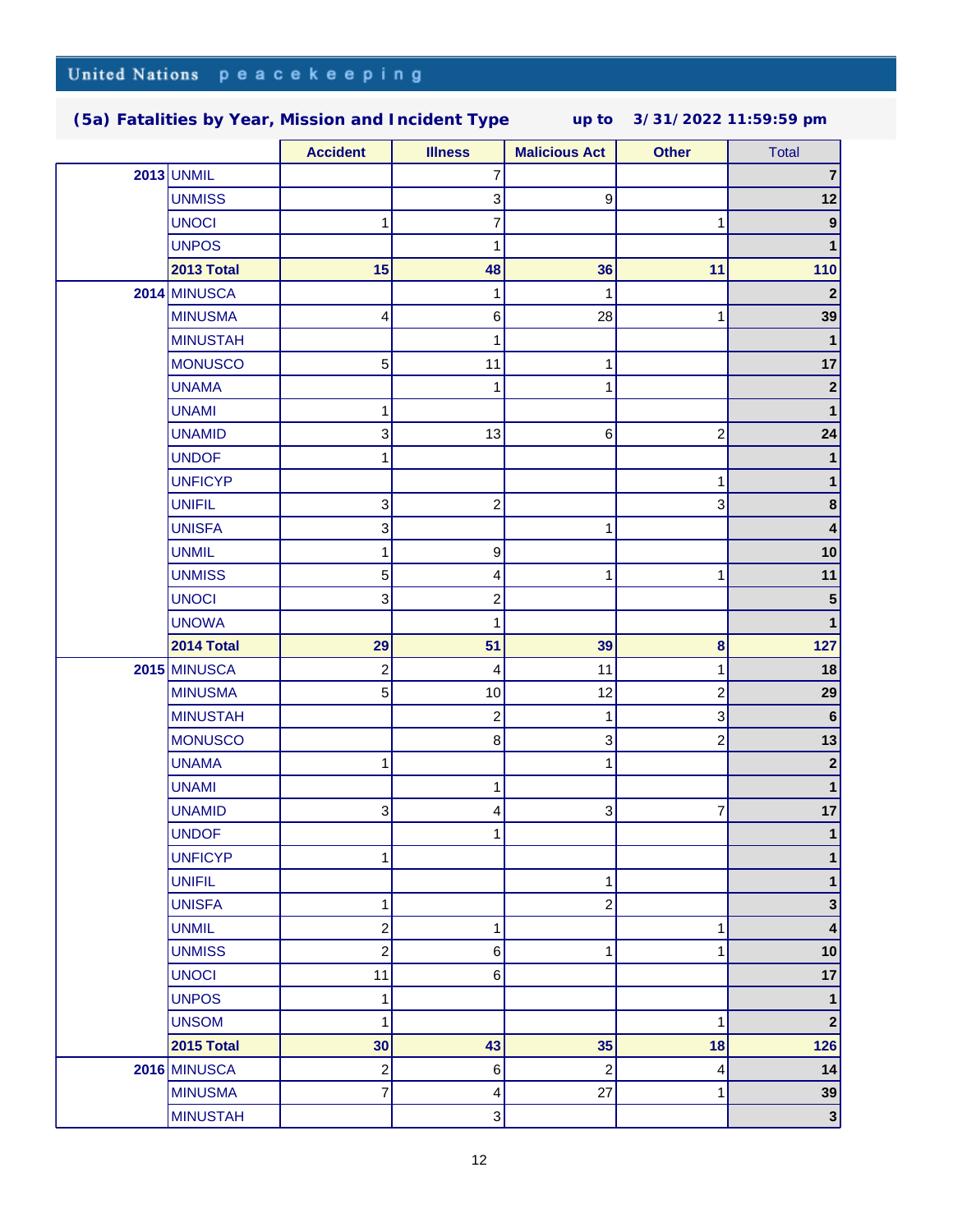|                   | <b>Accident</b>  | <b>Illness</b>          | <b>Malicious Act</b> | <b>Other</b>            | <b>Total</b>            |
|-------------------|------------------|-------------------------|----------------------|-------------------------|-------------------------|
| <b>2013 UNMIL</b> |                  | 7                       |                      |                         | $\overline{\mathbf{r}}$ |
| <b>UNMISS</b>     |                  | 3                       | 9                    |                         | 12                      |
| <b>UNOCI</b>      | 1                | 7                       |                      | 1                       | $\boldsymbol{9}$        |
| <b>UNPOS</b>      |                  | 1                       |                      |                         |                         |
| 2013 Total        | 15               | 48                      | 36                   | 11                      | 110                     |
| 2014 MINUSCA      |                  | 1                       | 1                    |                         | $\overline{\mathbf{2}}$ |
| <b>MINUSMA</b>    | 4                | 6                       | 28                   | 1                       | 39                      |
| <b>MINUSTAH</b>   |                  | 1                       |                      |                         | $\mathbf 1$             |
| <b>MONUSCO</b>    | 5                | 11                      | 1                    |                         | 17                      |
| <b>UNAMA</b>      |                  | 1                       | 1                    |                         | $2\vert$                |
| <b>UNAMI</b>      | 1                |                         |                      |                         | 1                       |
| <b>UNAMID</b>     | 3                | 13                      | 6                    | $\boldsymbol{2}$        | 24                      |
| <b>UNDOF</b>      | 1                |                         |                      |                         |                         |
| <b>UNFICYP</b>    |                  |                         |                      | 1                       | 1                       |
| <b>UNIFIL</b>     | 3                | $\overline{c}$          |                      | 3                       | 8 <sup>1</sup>          |
| <b>UNISFA</b>     | 3                |                         | 1                    |                         | 4                       |
| <b>UNMIL</b>      | 1                | 9                       |                      |                         | 10                      |
| <b>UNMISS</b>     | $\sqrt{5}$       | 4                       | 1                    | 1                       | 11                      |
| <b>UNOCI</b>      | 3                | 2                       |                      |                         | ${\bf 5}$               |
| <b>UNOWA</b>      |                  | 1                       |                      |                         | 1                       |
| 2014 Total        | 29               | 51                      | 39                   | 8                       | 127                     |
| 2015 MINUSCA      | $\boldsymbol{2}$ | 4                       | 11                   | 1                       | 18                      |
| <b>MINUSMA</b>    | 5                | 10                      | 12                   | $\overline{\mathbf{c}}$ | 29                      |
| <b>MINUSTAH</b>   |                  | $\overline{c}$          | 1                    | 3                       | $6\phantom{1}6$         |
| <b>MONUSCO</b>    |                  | $\, 8$                  | 3                    | $\overline{\mathbf{c}}$ | 13                      |
| <b>UNAMA</b>      | 1                |                         | 1                    |                         | $\boldsymbol{2}$        |
| <b>UNAMI</b>      |                  | 1                       |                      |                         | 1                       |
| <b>UNAMID</b>     | 3                | 4                       | 3                    | 7                       | 17                      |
| <b>UNDOF</b>      |                  | 1                       |                      |                         | 1                       |
| <b>UNFICYP</b>    | 1                |                         |                      |                         | 1                       |
| <b>UNIFIL</b>     |                  |                         | 1                    |                         | 1                       |
| <b>UNISFA</b>     | 1                |                         | $\overline{c}$       |                         | 3                       |
| <b>UNMIL</b>      | $\boldsymbol{2}$ | 1                       |                      | 1                       | $\vert$                 |
| <b>UNMISS</b>     | $\boldsymbol{2}$ | 6                       | 1                    | 1                       | 10                      |
| <b>UNOCI</b>      | 11               | 6                       |                      |                         | 17                      |
| <b>UNPOS</b>      | 1                |                         |                      |                         | 1                       |
| <b>UNSOM</b>      | 1                |                         |                      | 1                       | 2                       |
| <b>2015 Total</b> | 30               | 43                      | 35                   | 18                      | 126                     |
| 2016 MINUSCA      | $\boldsymbol{2}$ | $\,6$                   | $\boldsymbol{2}$     | 4                       | 14                      |
| <b>MINUSMA</b>    | 7                | $\overline{\mathbf{4}}$ | 27                   | 1                       | 39                      |
| <b>MINUSTAH</b>   |                  | 3                       |                      |                         | 3                       |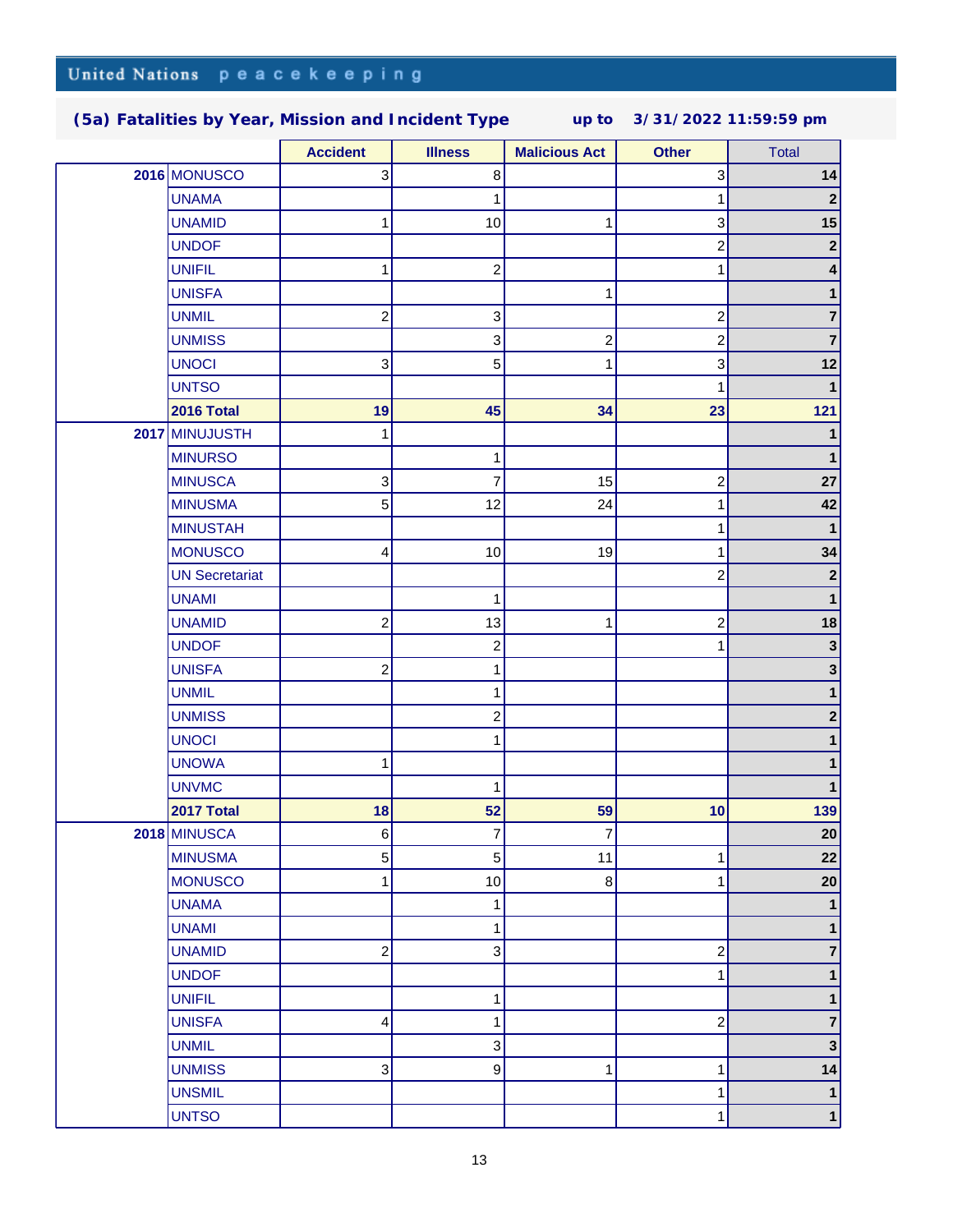|  |                       | <b>Accident</b>         | <b>Illness</b>          | <b>Malicious Act</b> | <b>Other</b>            | <b>Total</b>            |
|--|-----------------------|-------------------------|-------------------------|----------------------|-------------------------|-------------------------|
|  | 2016 MONUSCO          | 3                       | 8                       |                      | 3                       | 14                      |
|  | <b>UNAMA</b>          |                         | 1                       |                      | 1                       | $\mathbf{2}$            |
|  | <b>UNAMID</b>         | 1                       | 10                      | 1                    | 3                       | 15                      |
|  | <b>UNDOF</b>          |                         |                         |                      | $\overline{c}$          | $\mathbf{2}$            |
|  | <b>UNIFIL</b>         | 1                       | $\overline{\mathbf{c}}$ |                      |                         | $\vert 4 \vert$         |
|  | <b>UNISFA</b>         |                         |                         | 1                    |                         | 1                       |
|  | <b>UNMIL</b>          | $\overline{\mathbf{c}}$ | 3                       |                      | 2                       | $\overline{7}$          |
|  | <b>UNMISS</b>         |                         | 3                       | $\overline{c}$       | 2                       | $\overline{7}$          |
|  | <b>UNOCI</b>          | 3                       | 5                       | 1                    | 3                       | 12                      |
|  | <b>UNTSO</b>          |                         |                         |                      | 1                       | $\mathbf{1}$            |
|  | <b>2016 Total</b>     | 19                      | 45                      | 34                   | 23                      | $121$                   |
|  | 2017 MINUJUSTH        | 1                       |                         |                      |                         | 1                       |
|  | <b>MINURSO</b>        |                         | 1                       |                      |                         | 1                       |
|  | <b>MINUSCA</b>        | 3                       | 7                       | 15                   | $\overline{\mathbf{c}}$ | 27                      |
|  | <b>MINUSMA</b>        | 5                       | 12                      | 24                   | 1                       | 42                      |
|  | <b>MINUSTAH</b>       |                         |                         |                      |                         | $\mathbf{1}$            |
|  | <b>MONUSCO</b>        | 4                       | 10                      | 19                   |                         | 34                      |
|  | <b>UN Secretariat</b> |                         |                         |                      | 2                       | $\mathbf{2}$            |
|  | <b>UNAMI</b>          |                         | 1                       |                      |                         | $\mathbf{1}$            |
|  | <b>UNAMID</b>         | $\overline{\mathbf{c}}$ | 13                      | 1                    | 2                       | 18                      |
|  | <b>UNDOF</b>          |                         | $\overline{\mathbf{c}}$ |                      |                         | $\mathbf 3$             |
|  | <b>UNISFA</b>         | $\overline{c}$          | 1                       |                      |                         | $\mathbf 3$             |
|  | <b>UNMIL</b>          |                         | 1                       |                      |                         | 1                       |
|  | <b>UNMISS</b>         |                         | $\overline{\mathbf{c}}$ |                      |                         | $\mathbf{2}$            |
|  | <b>UNOCI</b>          |                         | 1                       |                      |                         | 1                       |
|  | <b>UNOWA</b>          | 1                       |                         |                      |                         |                         |
|  | <b>UNVMC</b>          |                         | 1                       |                      |                         |                         |
|  | 2017 Total            | 18                      | 52                      | 59                   | 10                      | 139                     |
|  | 2018 MINUSCA          | 6                       | 7                       | 7                    |                         | 20                      |
|  | <b>MINUSMA</b>        | 5                       | 5                       | 11                   | 1                       | 22                      |
|  | <b>MONUSCO</b>        | 1                       | 10                      | $\bf 8$              | 1                       | 20                      |
|  | <b>UNAMA</b>          |                         | 1                       |                      |                         | 1                       |
|  | <b>UNAMI</b>          |                         | 1                       |                      |                         | 1                       |
|  | <b>UNAMID</b>         | 2                       | 3                       |                      | 2                       | 7                       |
|  | <b>UNDOF</b>          |                         |                         |                      | 1                       | 1                       |
|  | <b>UNIFIL</b>         |                         | 1                       |                      |                         | 1                       |
|  | <b>UNISFA</b>         | 4                       | 1                       |                      | $\overline{\mathbf{c}}$ | $\overline{\mathbf{7}}$ |
|  | <b>UNMIL</b>          |                         | 3                       |                      |                         | 3 <sup>1</sup>          |
|  | <b>UNMISS</b>         | 3                       | $\boldsymbol{9}$        | 1                    | 1                       | 14                      |
|  | <b>UNSMIL</b>         |                         |                         |                      | 1                       | $\mathbf{1}$            |
|  | <b>UNTSO</b>          |                         |                         |                      |                         | $\mathbf 1$             |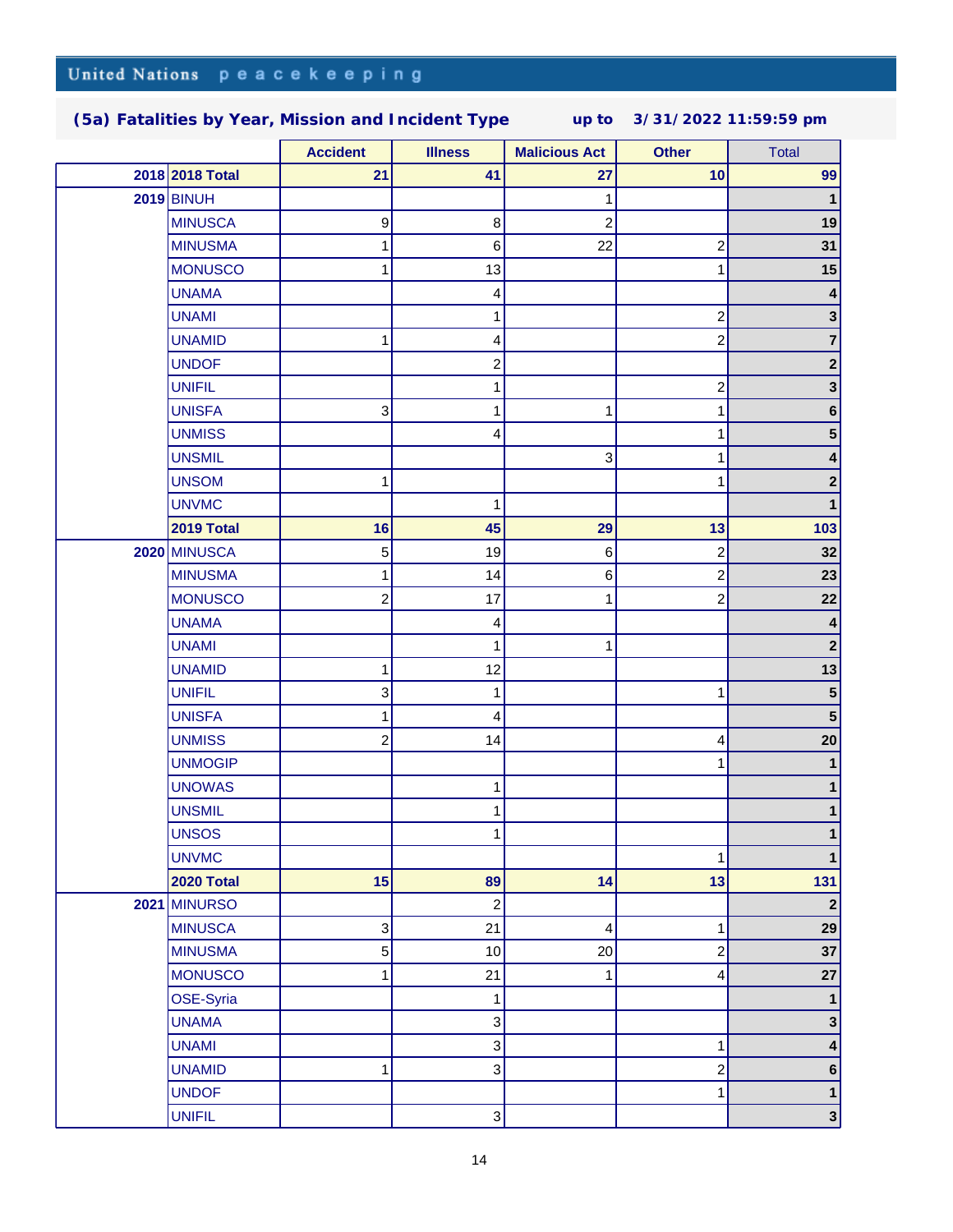|  |                   | <b>Accident</b>           | <b>Illness</b>   | <b>Malicious Act</b>    | <b>Other</b>            | <b>Total</b>            |
|--|-------------------|---------------------------|------------------|-------------------------|-------------------------|-------------------------|
|  | 2018 2018 Total   | 21                        | 41               | 27                      | 10                      | 99                      |
|  | <b>2019 BINUH</b> |                           |                  | 1                       |                         | $\mathbf{1}$            |
|  | <b>MINUSCA</b>    | 9                         | $\bf8$           | $\overline{\mathbf{c}}$ |                         | 19                      |
|  | <b>MINUSMA</b>    |                           | $\,6$            | 22                      | $\overline{\mathbf{c}}$ | 31                      |
|  | <b>MONUSCO</b>    |                           | 13               |                         | 1                       | 15                      |
|  | <b>UNAMA</b>      |                           | 4                |                         |                         | 4                       |
|  | <b>UNAMI</b>      |                           | 1                |                         | $\boldsymbol{2}$        | 3 <sup>1</sup>          |
|  | <b>UNAMID</b>     | 1                         | 4                |                         | $\overline{c}$          | 7                       |
|  | <b>UNDOF</b>      |                           | 2                |                         |                         | $\mathbf{2}$            |
|  | <b>UNIFIL</b>     |                           | 1                |                         | $\overline{\mathbf{c}}$ | $\mathbf{3}$            |
|  | <b>UNISFA</b>     | $\ensuremath{\mathsf{3}}$ | 1                | 1                       | 1                       | $\bf 6$                 |
|  | <b>UNMISS</b>     |                           | 4                |                         | 1                       | 5 <sup>1</sup>          |
|  | <b>UNSMIL</b>     |                           |                  | 3                       | 1                       | 4                       |
|  | <b>UNSOM</b>      | 1                         |                  |                         | 1                       | $2\vert$                |
|  | <b>UNVMC</b>      |                           | 1                |                         |                         | $\mathbf{1}$            |
|  | 2019 Total        | 16                        | 45               | 29                      | 13                      | 103                     |
|  | 2020 MINUSCA      | 5                         | 19               | 6                       | $\overline{\mathbf{c}}$ | 32                      |
|  | <b>MINUSMA</b>    | 1                         | 14               | 6                       | $\boldsymbol{2}$        | 23                      |
|  | <b>MONUSCO</b>    | $\overline{c}$            | 17               | 1                       | 2                       | 22                      |
|  | <b>UNAMA</b>      |                           | 4                |                         |                         | 4                       |
|  | <b>UNAMI</b>      |                           | 1                | 1                       |                         | $\boldsymbol{2}$        |
|  | <b>UNAMID</b>     | 1                         | 12               |                         |                         | 13                      |
|  | <b>UNIFIL</b>     | 3                         | 1                |                         | 1                       | 5 <sup>5</sup>          |
|  | <b>UNISFA</b>     | 1                         | 4                |                         |                         | ${\bf 5}$               |
|  | <b>UNMISS</b>     | $\overline{c}$            | 14               |                         | 4                       | 20                      |
|  | <b>UNMOGIP</b>    |                           |                  |                         | 1                       | 1                       |
|  | <b>UNOWAS</b>     |                           | 1                |                         |                         | 1                       |
|  | <b>UNSMIL</b>     |                           | 1                |                         |                         | 1                       |
|  | <b>UNSOS</b>      |                           | 1                |                         |                         |                         |
|  | <b>UNVMC</b>      |                           |                  |                         | 1                       | $\mathbf 1$             |
|  | <b>2020 Total</b> | 15                        | 89               | 14                      | 13                      | 131                     |
|  | 2021 MINURSO      |                           | $\boldsymbol{2}$ |                         |                         | $\mathbf{2}$            |
|  | <b>MINUSCA</b>    | $\mathsf 3$               | 21               | 4                       | 1                       | 29                      |
|  | <b>MINUSMA</b>    | 5                         | 10               | 20                      | $\boldsymbol{2}$        | 37                      |
|  | <b>MONUSCO</b>    | 1                         | 21               | 1                       | 4                       | 27                      |
|  | OSE-Syria         |                           | 1                |                         |                         | 1                       |
|  | <b>UNAMA</b>      |                           | 3                |                         |                         | $\mathbf{3}$            |
|  | <b>UNAMI</b>      |                           | 3                |                         | 1                       | $\vert 4 \vert$         |
|  | <b>UNAMID</b>     | 1                         | 3                |                         | $\boldsymbol{2}$        | 6 <sup>1</sup>          |
|  | <b>UNDOF</b>      |                           |                  |                         | 1                       | 1                       |
|  | <b>UNIFIL</b>     |                           | $\mathbf{3}$     |                         |                         | $\overline{\mathbf{3}}$ |